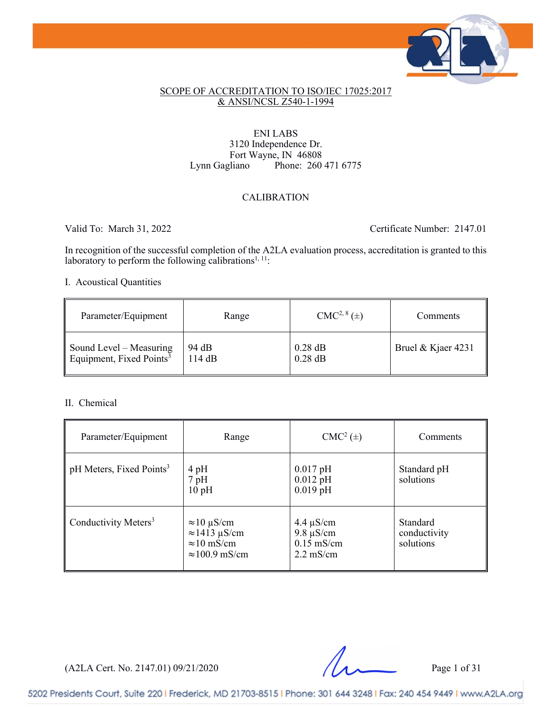

#### SCOPE OF ACCREDITATION TO ISO/IEC 17025:2017 & ANSI/NCSL Z540-1-1994

## ENI LABS 3120 Independence Dr. Fort Wayne, IN 46808<br>Lynn Gagliano Phone: 260 Phone: 260 471 6775

## CALIBRATION

Valid To: March 31, 2022 Certificate Number: 2147.01

In recognition of the successful completion of the A2LA evaluation process, accreditation is granted to this laboratory to perform the following calibrations<sup>1, 11</sup>:

## I. Acoustical Quantities

| Parameter/Equipment                  | Range  | $CMC2, 8(\pm)$ | Comments           |
|--------------------------------------|--------|----------------|--------------------|
| Sound Level - Measuring              | 94 dB  | $0.28$ dB      | Bruel & Kjaer 4231 |
| Equipment, Fixed Points <sup>3</sup> | 114 dB | $0.28$ dB      |                    |

#### II. Chemical

| Parameter/Equipment                  | Range                                                                                     | $CMC2(\pm)$                                                             | Comments                              |
|--------------------------------------|-------------------------------------------------------------------------------------------|-------------------------------------------------------------------------|---------------------------------------|
| pH Meters, Fixed Points <sup>3</sup> | $4\,\mathrm{pH}$<br>$7$ pH<br>10pH                                                        | $0.017$ pH<br>$0.012$ pH<br>$0.019$ pH                                  | Standard pH<br>solutions              |
| Conductivity Meters <sup>3</sup>     | $\approx$ 10 µS/cm<br>$\approx$ 1413 µS/cm<br>$\approx 10$ mS/cm<br>$\approx$ 100.9 mS/cm | $4.4 \mu S/cm$<br>$9.8 \mu S/cm$<br>$0.15$ mS/cm<br>$2.2 \text{ mS/cm}$ | Standard<br>conductivity<br>solutions |

(A2LA Cert. No. 2147.01) 09/21/2020 Page 1 of 31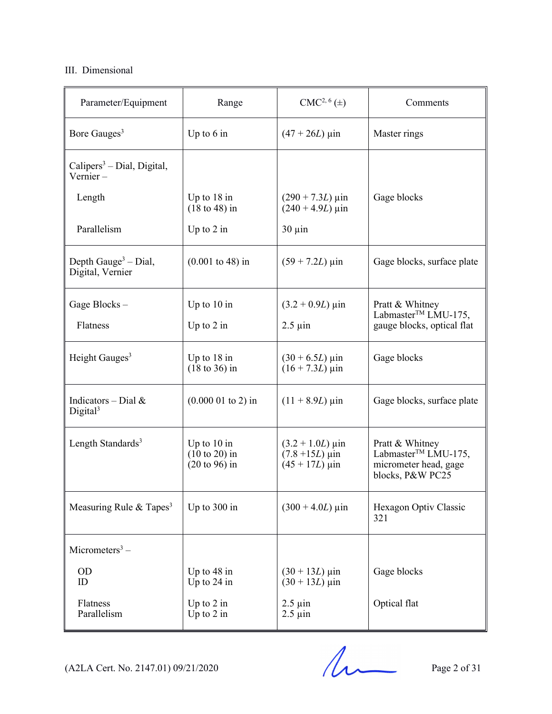## III. Dimensional

| Parameter/Equipment                                  | Range                                                        | $CMC2, 6(\pm)$                                                              | Comments                                                                                        |
|------------------------------------------------------|--------------------------------------------------------------|-----------------------------------------------------------------------------|-------------------------------------------------------------------------------------------------|
| Bore Gauges <sup>3</sup>                             | Up to $6$ in                                                 | $(47 + 26L)$ µin                                                            | Master rings                                                                                    |
| Calipers <sup>3</sup> – Dial, Digital,<br>Vernier –  |                                                              |                                                                             |                                                                                                 |
| Length                                               | Up to $18$ in<br>$(18 \text{ to } 48)$ in                    | $(290 + 7.3L) \,\mu \text{in}$<br>$(240 + 4.9L) \,\mu\text{in}$             | Gage blocks                                                                                     |
| Parallelism                                          | Up to $2$ in                                                 | $30 \mu$ in                                                                 |                                                                                                 |
| Depth Gauge <sup>3</sup> – Dial,<br>Digital, Vernier | $(0.001 \text{ to } 48) \text{ in}$                          | $(59 + 7.2L) \,\mu \text{in}$                                               | Gage blocks, surface plate                                                                      |
| Gage Blocks-                                         | Up to $10$ in                                                | $(3.2 + 0.9L) \,\mu\text{in}$                                               | Pratt & Whitney<br>Labmaster <sup>™</sup> LMU-175,                                              |
| Flatness                                             | Up to $2$ in                                                 | $2.5 \mu$ in                                                                | gauge blocks, optical flat                                                                      |
| Height Gauges <sup>3</sup>                           | Up to $18$ in<br>$(18 \text{ to } 36)$ in                    | $(30 + 6.5L) \,\mu\text{in}$<br>$(16 + 7.3L) \,\mu\text{in}$                | Gage blocks                                                                                     |
| Indicators – Dial $&$<br>Digital <sup>3</sup>        | $(0.000 01$ to 2) in                                         | $(11 + 8.9L) \,\mu \text{in}$                                               | Gage blocks, surface plate                                                                      |
| Length Standards <sup>3</sup>                        | Up to $10$ in<br>$(10 to 20)$ in<br>$(20 \text{ to } 96)$ in | $(3.2 + 1.0L) \,\mu\text{in}$<br>$(7.8 + 15L) \,\mu$ in<br>$(45 + 17L)$ µin | Pratt & Whitney<br>Labmaster <sup>™</sup> LMU-175,<br>micrometer head, gage<br>blocks, P&W PC25 |
| Measuring Rule & Tapes <sup>3</sup>                  | Up to 300 in                                                 | $(300 + 4.0L) \,\mu\text{in}$                                               | Hexagon Optiv Classic<br>321                                                                    |
| Micrometers <sup>3</sup> –                           |                                                              |                                                                             |                                                                                                 |
| <b>OD</b><br>ID                                      | Up to $48$ in<br>Up to 24 in                                 | $(30 + 13L) \,\mu \text{in}$<br>$(30 + 13L)$ µin                            | Gage blocks                                                                                     |
| Flatness<br>Parallelism                              | Up to $2$ in<br>Up to $2$ in                                 | $2.5 \mu$ in<br>$2.5 \mu$ in                                                | Optical flat                                                                                    |

 $(A2LA$  Cert. No. 2147.01) 09/21/2020 Page 2 of 31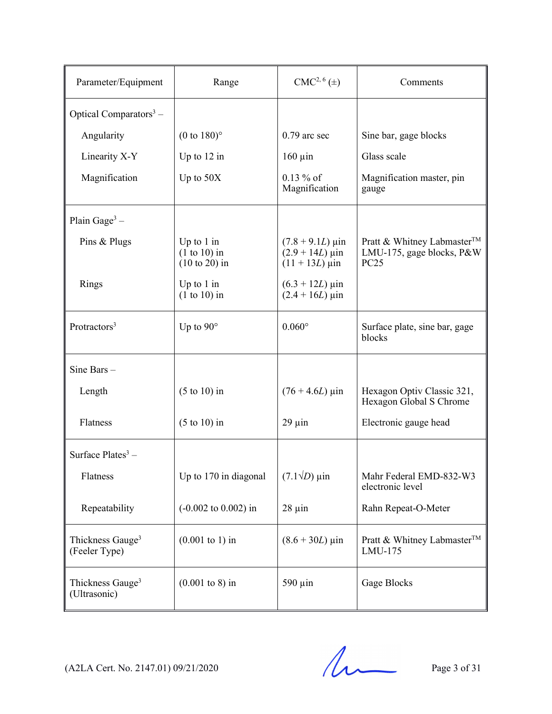| Parameter/Equipment                           | Range                                             | $CMC2, 6(\pm)$                                                                      | Comments                                                               |
|-----------------------------------------------|---------------------------------------------------|-------------------------------------------------------------------------------------|------------------------------------------------------------------------|
| Optical Comparators <sup>3</sup> –            |                                                   |                                                                                     |                                                                        |
| Angularity                                    | $(0 \text{ to } 180)$ °                           | $0.79$ arc sec                                                                      | Sine bar, gage blocks                                                  |
| Linearity X-Y                                 | Up to $12$ in                                     | $160 \mu$ in                                                                        | Glass scale                                                            |
| Magnification                                 | Up to $50X$                                       | $0.13 \%$ of<br>Magnification                                                       | Magnification master, pin<br>gauge                                     |
| Plain Gage <sup>3</sup> –                     |                                                   |                                                                                     |                                                                        |
| Pins & Plugs                                  | Up to $1$ in<br>$(1 to 10)$ in<br>$(10 to 20)$ in | $(7.8 + 9.1L) \,\mu \text{in}$<br>$(2.9 + 14L) \,\mu \text{in}$<br>$(11 + 13L)$ µin | Pratt & Whitney Labmaster™<br>LMU-175, gage blocks, P&W<br><b>PC25</b> |
| Rings                                         | Up to $1$ in<br>$(1 to 10)$ in                    | $(6.3 + 12L) \,\mu$ in<br>$(2.4 + 16L)$ µin                                         |                                                                        |
| Protractors <sup>3</sup>                      | Up to $90^\circ$                                  | $0.060^\circ$                                                                       | Surface plate, sine bar, gage<br>blocks                                |
| Sine Bars -                                   |                                                   |                                                                                     |                                                                        |
| Length                                        | $(5 \text{ to } 10)$ in                           | $(76 + 4.6L) \,\mu m$                                                               | Hexagon Optiv Classic 321,<br>Hexagon Global S Chrome                  |
| Flatness                                      | $(5 \text{ to } 10)$ in                           | $29 \mu$ in                                                                         | Electronic gauge head                                                  |
| Surface Plates <sup>3</sup> –                 |                                                   |                                                                                     |                                                                        |
| Flatness                                      | Up to 170 in diagonal                             | $(7.1\sqrt{D})$ µin                                                                 | Mahr Federal EMD-832-W3<br>electronic level                            |
| Repeatability                                 | $(-0.002 \text{ to } 0.002) \text{ in}$           | $28 \mu in$                                                                         | Rahn Repeat-O-Meter                                                    |
| Thickness Gauge <sup>3</sup><br>(Feeler Type) | $(0.001 \text{ to } 1)$ in                        | $(8.6 + 30L) \,\mu\text{in}$                                                        | Pratt & Whitney Labmaster™<br>LMU-175                                  |
| Thickness Gauge <sup>3</sup><br>(Ultrasonic)  | $(0.001 \text{ to } 8) \text{ in}$                | 590 µin                                                                             | Gage Blocks                                                            |

 $(A2LA$  Cert. No. 2147.01) 09/21/2020 Page 3 of 31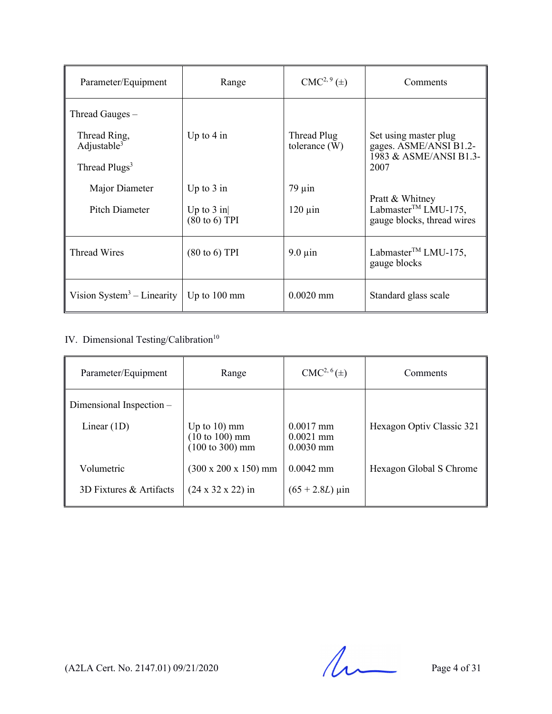| Parameter/Equipment                                                            | Range                                                    | $CMC2, 9(\pm)$                 | Comments                                                                          |
|--------------------------------------------------------------------------------|----------------------------------------------------------|--------------------------------|-----------------------------------------------------------------------------------|
| Thread Gauges -<br>Thread Ring,<br>Adjustable $3$<br>Thread Plugs <sup>3</sup> | Up to $4$ in                                             | Thread Plug<br>tolerance $(W)$ | Set using master plug<br>gages. ASME/ANSI B1.2-<br>1983 & ASME/ANSI B1.3-<br>2007 |
| Major Diameter<br>Pitch Diameter                                               | Up to $3$ in<br>Up to $3$ in<br>$(80 \text{ to } 6)$ TPI | $79 \mu$ in<br>$120 \mu$ in    | Pratt & Whitney<br>Labmaster <sup>™</sup> LMU-175,<br>gauge blocks, thread wires  |
| Thread Wires                                                                   | $(80 \text{ to } 6)$ TPI                                 | $9.0 \mu$ in                   | Labmaster <sup>TM</sup> LMU-175,<br>gauge blocks                                  |
| Vision System <sup>3</sup> – Linearity                                         | Up to $100 \text{ mm}$                                   | $0.0020$ mm                    | Standard glass scale                                                              |

# IV. Dimensional Testing/Calibration<sup>10</sup>

| Parameter/Equipment      | Range                                                                   | $CMC2, 6(\pm)$                            | Comments                  |
|--------------------------|-------------------------------------------------------------------------|-------------------------------------------|---------------------------|
| Dimensional Inspection - |                                                                         |                                           |                           |
| Linear $(1D)$            | Up to $10$ mm<br>$(10 to 100)$ mm<br>$(100 \text{ to } 300) \text{ mm}$ | $0.0017$ mm<br>$0.0021$ mm<br>$0.0030$ mm | Hexagon Optiv Classic 321 |
| Volumetric               | $(300 \times 200 \times 150)$ mm                                        | $0.0042$ mm                               | Hexagon Global S Chrome   |
| 3D Fixtures & Artifacts  | $(24 \times 32 \times 22)$ in                                           | $(65 + 2.8L) \,\mu \text{in}$             |                           |

 $(A2LA$  Cert. No. 2147.01) 09/21/2020 Page 4 of 31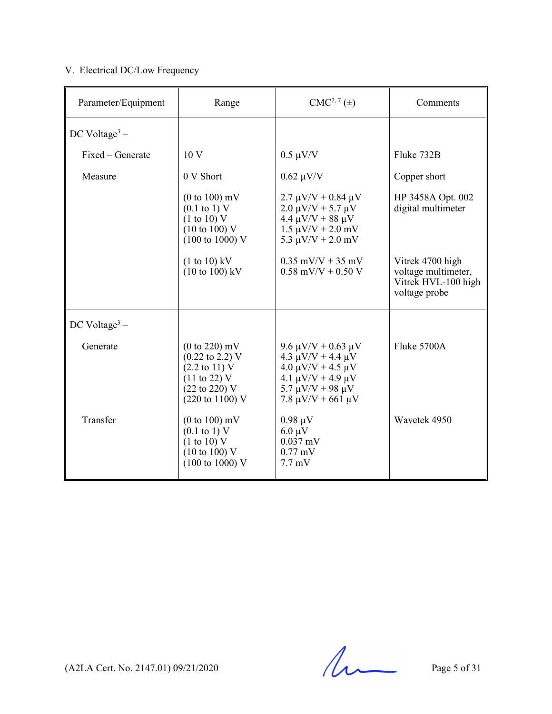# V. Electrical DC/Low Frequency

| Parameter/Equipment       | Range                                                                                                                                                                          | $CMC2, 7(\pm)$                                                                                                                                                           | Comments                                                                        |
|---------------------------|--------------------------------------------------------------------------------------------------------------------------------------------------------------------------------|--------------------------------------------------------------------------------------------------------------------------------------------------------------------------|---------------------------------------------------------------------------------|
| DC Voltage <sup>3</sup> – |                                                                                                                                                                                |                                                                                                                                                                          |                                                                                 |
| Fixed – Generate          | 10 V                                                                                                                                                                           | $0.5 \mu V/V$                                                                                                                                                            | Fluke 732B                                                                      |
| Measure                   | 0 V Short                                                                                                                                                                      | $0.62 \mu V/V$                                                                                                                                                           | Copper short                                                                    |
|                           | $(0 to 100)$ mV<br>$(0.1 \text{ to } 1) \text{ V}$<br>(1 to 10) V<br>$(10 \text{ to } 100)$ V<br>$(100 \text{ to } 1000)$ V                                                    | $2.7 \mu V/V + 0.84 \mu V$<br>$2.0 \mu V/V + 5.7 \mu V$<br>$4.4 \mu V/V + 88 \mu V$<br>$1.5 \mu V/V + 2.0 \ mV$<br>5.3 $\mu$ V/V + 2.0 mV                                | HP 3458A Opt. 002<br>digital multimeter                                         |
|                           | $(1 to 10)$ kV<br>$(10 \text{ to } 100) \text{ kV}$                                                                                                                            | $0.35$ mV/V + 35 mV<br>$0.58$ mV/V + 0.50 V                                                                                                                              | Vitrek 4700 high<br>voltage multimeter,<br>Vitrek HVL-100 high<br>voltage probe |
| DC Voltage <sup>3</sup> – |                                                                                                                                                                                |                                                                                                                                                                          |                                                                                 |
| Generate                  | $(0 to 220)$ mV<br>$(0.22 \text{ to } 2.2) \text{ V}$<br>$(2.2 \text{ to } 11)$ V<br>$(11 \text{ to } 22)$ V<br>$(22 \text{ to } 220)$ V<br>$(220 \text{ to } 1100) \text{ V}$ | 9.6 μV/V + 0.63 μV<br>$4.3 \mu V/V + 4.4 \mu V$<br>$4.0 \mu V/V + 4.5 \mu V$<br>4.1 $\mu$ V/V + 4.9 $\mu$ V<br>5.7 $\mu$ V/V + 98 $\mu$ V<br>7.8 $\mu$ V/V + 661 $\mu$ V | Fluke 5700A                                                                     |
| Transfer                  | $(0 to 100)$ mV<br>$(0.1 \text{ to } 1) \text{ V}$<br>(1 to 10) V<br>$(10 \text{ to } 100)$ V<br>$(100 \text{ to } 1000)$ V                                                    | $0.98 \mu V$<br>$6.0 \mu V$<br>$0.037$ mV<br>$0.77$ mV<br>$7.7 \text{ mV}$                                                                                               | Wavetek 4950                                                                    |

 $(A2LA$  Cert. No. 2147.01) 09/21/2020 Page 5 of 31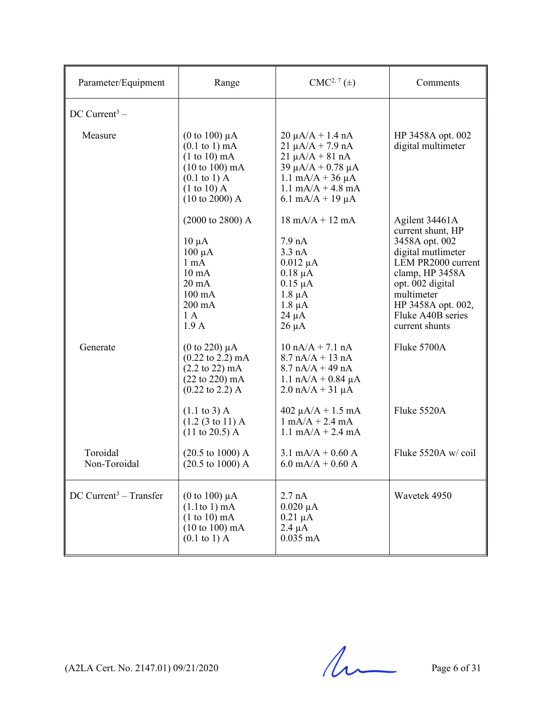| Parameter/Equipment                  | Range                                                                                                                                                                                  | $CMC2, 7(\pm)$                                                                                                                                                                                                     | Comments                                                                                                                                                                                                            |
|--------------------------------------|----------------------------------------------------------------------------------------------------------------------------------------------------------------------------------------|--------------------------------------------------------------------------------------------------------------------------------------------------------------------------------------------------------------------|---------------------------------------------------------------------------------------------------------------------------------------------------------------------------------------------------------------------|
| DC Current <sup>3</sup> –            |                                                                                                                                                                                        |                                                                                                                                                                                                                    |                                                                                                                                                                                                                     |
| Measure                              | (0 to 100) $\mu$ A<br>$(0.1 \text{ to } 1) \text{ mA}$<br>$(1 to 10)$ mA<br>$(10 \text{ to } 100) \text{ mA}$<br>$(0.1 \text{ to } 1)$ A<br>$(1 to 10)$ A<br>$(10 \text{ to } 2000)$ A | $20 \mu A/A + 1.4 nA$<br>$21 \mu A/A + 7.9 \text{ nA}$<br>$21 \mu A/A + 81 nA$<br>$39 \mu A/A + 0.78 \mu A$<br>$1.1 \text{ mA/A} + 36 \mu\text{A}$<br>$1.1 \text{ mA/A} + 4.8 \text{ mA}$<br>6.1 mA/A + 19 $\mu$ A | HP 3458A opt. 002<br>digital multimeter                                                                                                                                                                             |
|                                      | $(2000 \text{ to } 2800)$ A<br>$10 \mu A$<br>$100 \mu A$<br>1 <sub>mA</sub><br>$10 \text{ mA}$<br>$20 \text{ mA}$<br>$100 \text{ mA}$<br>$200 \text{ mA}$<br>1A<br>1.9A                | $18 \text{ mA/A} + 12 \text{ mA}$<br>7.9 <sub>nA</sub><br>3.3 nA<br>$0.012 \mu A$<br>$0.18 \mu A$<br>$0.15 \mu A$<br>$1.8 \mu A$<br>$1.8 \mu A$<br>$24 \mu A$<br>$26 \mu A$                                        | Agilent 34461A<br>current shunt, HP<br>3458A opt. 002<br>digital mutlimeter<br>LEM PR2000 current<br>clamp, HP 3458A<br>opt. 002 digital<br>multimeter<br>HP 3458A opt. 002,<br>Fluke A40B series<br>current shunts |
| Generate                             | (0 to 220) $\mu$ A<br>$(0.22 \text{ to } 2.2) \text{ mA}$<br>$(2.2 \text{ to } 22) \text{ mA}$<br>$(22 \text{ to } 220) \text{ mA}$<br>$(0.22 \text{ to } 2.2)$ A                      | $10 nA/A + 7.1 nA$<br>$8.7 nA/A + 13 nA$<br>$8.7 nA/A + 49 nA$<br>$1.1 \text{ nA/A} + 0.84 \mu\text{A}$<br>$2.0 \text{ nA/A} + 31 \text{ µA}$                                                                      | Fluke 5700A                                                                                                                                                                                                         |
|                                      | $(1.1 \text{ to } 3)$ A<br>(1.2 (3 to 11) A)<br>$(11 \text{ to } 20.5)$ A                                                                                                              | $402 \mu A/A + 1.5 \text{ mA}$<br>$1 \text{ mA}/A + 2.4 \text{ mA}$<br>$1.1 \text{ mA/A} + 2.4 \text{ mA}$                                                                                                         | Fluke 5520A                                                                                                                                                                                                         |
| Toroidal<br>Non-Toroidal             | $(20.5 \text{ to } 1000)$ A<br>$(20.5 \text{ to } 1000)$ A                                                                                                                             | $3.1 \text{ mA/A} + 0.60 \text{ A}$<br>$6.0$ mA/A + 0.60 A                                                                                                                                                         | Fluke 5520A w/coil                                                                                                                                                                                                  |
| $DC$ Current <sup>3</sup> – Transfer | (0 to 100) $\mu$ A<br>$(1.1$ to 1) mA<br>$(1 to 10)$ mA<br>$(10 \text{ to } 100) \text{ mA}$<br>$(0.1 \text{ to } 1)$ A                                                                | 2.7 nA<br>$0.020 \mu A$<br>$0.21 \mu A$<br>$2.4 \mu A$<br>$0.035$ mA                                                                                                                                               | Wavetek 4950                                                                                                                                                                                                        |

 $(A2LA$  Cert. No. 2147.01) 09/21/2020 Page 6 of 31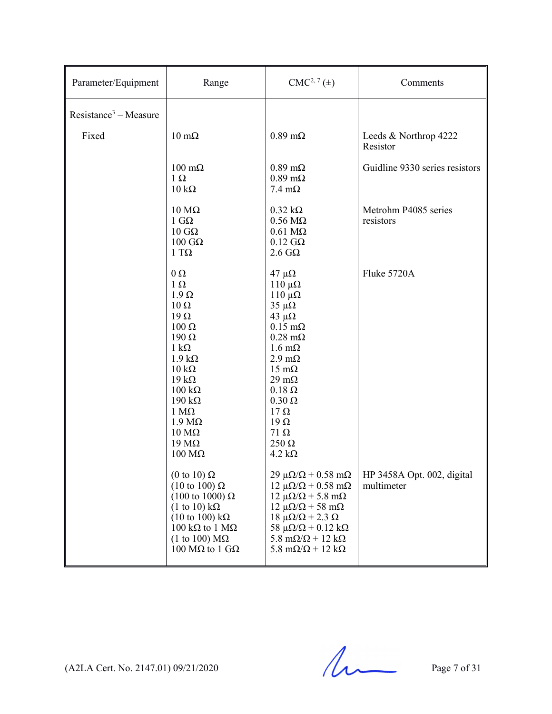| Parameter/Equipment     | Range                                                                                                                                                                                                                                                                                                                                      | $CMC2, 7(\pm)$                                                                                                                                                                                                                                                                                                                                         | Comments                                 |
|-------------------------|--------------------------------------------------------------------------------------------------------------------------------------------------------------------------------------------------------------------------------------------------------------------------------------------------------------------------------------------|--------------------------------------------------------------------------------------------------------------------------------------------------------------------------------------------------------------------------------------------------------------------------------------------------------------------------------------------------------|------------------------------------------|
| $Resistance3 - Measure$ |                                                                                                                                                                                                                                                                                                                                            |                                                                                                                                                                                                                                                                                                                                                        |                                          |
| Fixed                   | $10 \text{ m}\Omega$                                                                                                                                                                                                                                                                                                                       | $0.89 \text{ m}\Omega$                                                                                                                                                                                                                                                                                                                                 | Leeds & Northrop 4222<br>Resistor        |
|                         | $100 \text{ m}\Omega$<br>$1\Omega$<br>$10 \text{ k}\Omega$                                                                                                                                                                                                                                                                                 | $0.89 \text{ m}\Omega$<br>$0.89 \text{ m}\Omega$<br>$7.4 \text{ }\mathrm{m}\Omega$                                                                                                                                                                                                                                                                     | Guidline 9330 series resistors           |
|                         | $10 \text{ M}\Omega$<br>1 G $\Omega$<br>$10 \text{ } \text{G} \Omega$<br>$100$ GΩ<br>$1 T\Omega$                                                                                                                                                                                                                                           | $0.32 \text{ k}\Omega$<br>$0.56 \text{ M}\Omega$<br>$0.61$ M $\Omega$<br>$0.12$ G $\Omega$<br>$2.6 \text{ } G\Omega$                                                                                                                                                                                                                                   | Metrohm P4085 series<br>resistors        |
|                         | $0\,\Omega$<br>$1 \Omega$<br>$1.9 \Omega$<br>$10 \Omega$<br>$19 \Omega$<br>$100 \Omega$<br>$190 \Omega$<br>$1 \text{ k}\Omega$<br>$1.9 k\Omega$<br>$10 \text{ k}\Omega$<br>$19 k\Omega$<br>$100 \text{ k}\Omega$<br>$190 \text{ k}\Omega$<br>$1 M\Omega$<br>$1.9 M\Omega$<br>$10 \text{ M}\Omega$<br>19 $M\Omega$<br>$100 \text{ M}\Omega$ | $47$ μΩ<br>$110 \muΩ$<br>$110 \muΩ$<br>$35 \mu\Omega$<br>43 $\mu\Omega$<br>$0.15 \text{ m}\Omega$<br>$0.28$ m $\Omega$<br>$1.6 \text{ m}\Omega$<br>$2.9 \text{ m}\Omega$<br>$15 \text{ mA}$<br>$29 \text{ mA}$<br>$0.18 \Omega$<br>$0.30 \Omega$<br>$17 \Omega$<br>$19\Omega$<br>$71\,\Omega$<br>$250 \Omega$<br>$4.2 \text{ k}\Omega$                 | Fluke 5720A                              |
|                         | (0 to 10) $\Omega$<br>$(10 \text{ to } 100) \Omega$<br>$(100 \text{ to } 1000) \Omega$<br>$(1 \text{ to } 10) \text{ k}\Omega$<br>$(10 \text{ to } 100) \text{ k}\Omega$<br>$100 \text{ k}\Omega$ to 1 MΩ<br>(1 to 100) $\text{M}\Omega$<br>100 MΩ to 1 GΩ                                                                                 | $29 \mu\Omega/\Omega + 0.58 \text{ mA}$<br>$12 \mu\Omega/\Omega + 0.58 \text{ mA}$<br>$12 \mu\Omega/\Omega$ + 5.8 m $\Omega$<br>$12 \mu\Omega/\Omega$ + 58 m $\Omega$<br>$18 \mu\Omega/\Omega$ + 2.3 $\Omega$<br>58 $\mu\Omega/\Omega$ + 0.12 k $\Omega$<br>5.8 m $\Omega/\Omega$ + 12 k $\Omega$<br>$5.8 \text{ m}\Omega/\Omega + 12 \text{ k}\Omega$ | HP 3458A Opt. 002, digital<br>multimeter |

 $(A2LA$  Cert. No. 2147.01) 09/21/2020 Page 7 of 31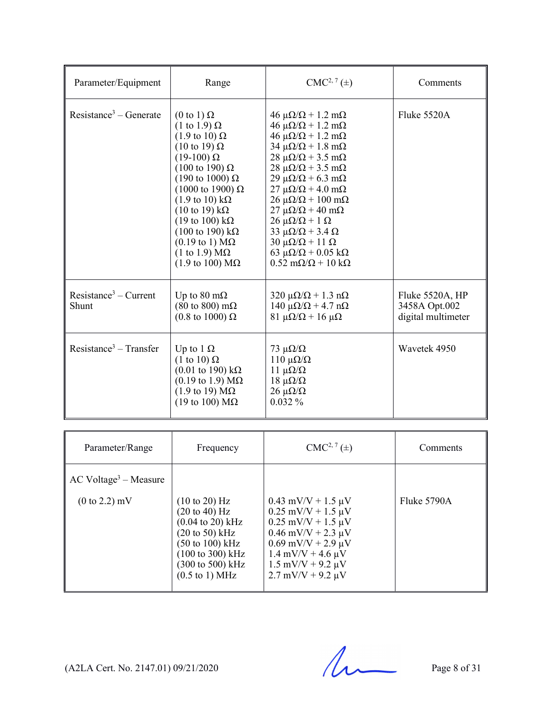| Parameter/Equipment                | Range                                                                                                                                                                                                                                                                                                                                                                                                                                                                                                                                                     | $CMC2, 7(\pm)$                                                                                                                                                                                                                                                                                                                                                                                                                                                                                                                                                                                                                                       | Comments                                               |
|------------------------------------|-----------------------------------------------------------------------------------------------------------------------------------------------------------------------------------------------------------------------------------------------------------------------------------------------------------------------------------------------------------------------------------------------------------------------------------------------------------------------------------------------------------------------------------------------------------|------------------------------------------------------------------------------------------------------------------------------------------------------------------------------------------------------------------------------------------------------------------------------------------------------------------------------------------------------------------------------------------------------------------------------------------------------------------------------------------------------------------------------------------------------------------------------------------------------------------------------------------------------|--------------------------------------------------------|
| Resistance <sup>3</sup> – Generate | $(0 \text{ to } 1) \Omega$<br>$(1 \text{ to } 1.9) \Omega$<br>$(1.9 \text{ to } 10) \Omega$<br>$(10 \text{ to } 19) \Omega$<br>$(19-100)\Omega$<br>$(100 \text{ to } 190) \Omega$<br>$(190 \text{ to } 1000) \Omega$<br>$(1000 \text{ to } 1900)$ Ω<br>$(1.9 \text{ to } 10) \text{ k}\Omega$<br>$(10 \text{ to } 19) \text{ k}\Omega$<br>$(19 \text{ to } 100) \text{ k}\Omega$<br>$(100 \text{ to } 190) \text{ k}\Omega$<br>$(0.19 \text{ to } 1) \text{ M}\Omega$<br>$(1 \text{ to } 1.9) \text{ M}\Omega$<br>$(1.9 \text{ to } 100) \text{ M}\Omega$ | $46 \mu\Omega/\Omega + 1.2 \text{ mA}$<br>$46 \mu\Omega/\Omega + 1.2 \text{ mA}$<br>$46 \mu\Omega/\Omega + 1.2 \text{ mA}$<br>$34 \mu\Omega/\Omega + 1.8 \text{ mA}$<br>$28 \mu\Omega/\Omega + 3.5 \text{ mA}$<br>$28 \mu\Omega/\Omega + 3.5 \text{ mA}$<br>$29 \mu\Omega/\Omega$ + 6.3 m $\Omega$<br>$27 \mu\Omega/\Omega$ + 4.0 m $\Omega$<br>$26 \mu\Omega/\Omega + 100 \text{ mA}$<br>$27 \mu\Omega/\Omega + 40 \text{ m}\Omega$<br>$26 \mu\Omega/\Omega + 1 \Omega$<br>$33 \mu\Omega/\Omega + 3.4 \Omega$<br>$30 \mu\Omega/\Omega + 11 \Omega$<br>63 $\mu\Omega/\Omega$ + 0.05 k $\Omega$<br>$0.52 \text{ m}\Omega/\Omega + 10 \text{ k}\Omega$ | Fluke 5520A                                            |
| $Resistance3 - Current$<br>Shunt   | Up to 80 m $\Omega$<br>$(80 \text{ to } 800) \text{ m}\Omega$<br>$(0.8 \text{ to } 1000) \Omega$                                                                                                                                                                                                                                                                                                                                                                                                                                                          | $320 \mu\Omega/\Omega + 1.3 \text{ n}\Omega$<br>$140 \mu\Omega/\Omega$ + 4.7 n $\Omega$<br>$81 \mu\Omega/\Omega + 16 \mu\Omega$                                                                                                                                                                                                                                                                                                                                                                                                                                                                                                                      | Fluke 5520A, HP<br>3458A Opt.002<br>digital multimeter |
| Resistance <sup>3</sup> – Transfer | Up to 1 $\Omega$<br>$(1 \text{ to } 10) \Omega$<br>$(0.01$ to 190) kΩ<br>$(0.19 \text{ to } 1.9) \text{ M}\Omega$<br>$(1.9 \text{ to } 19) \text{ M}\Omega$<br>(19 to 100) $M\Omega$                                                                                                                                                                                                                                                                                                                                                                      | $73 \mu\Omega/\Omega$<br>110 μ $\Omega/\Omega$<br>$11 \muΩ/Ω$<br>$18 \mu\Omega/\Omega$<br>$26 \muΩ/Ω$<br>$0.032\%$                                                                                                                                                                                                                                                                                                                                                                                                                                                                                                                                   | Wavetek 4950                                           |

| Parameter/Range                                                         | Frequency                                                                                                                                                                                                                                                                                         | $CMC2, 7(\pm)$                                                                                                                                                                                                                                                            | Comments    |
|-------------------------------------------------------------------------|---------------------------------------------------------------------------------------------------------------------------------------------------------------------------------------------------------------------------------------------------------------------------------------------------|---------------------------------------------------------------------------------------------------------------------------------------------------------------------------------------------------------------------------------------------------------------------------|-------------|
| $AC$ Voltage <sup>3</sup> – Measure<br>$(0 \text{ to } 2.2) \text{ mV}$ | $(10 \text{ to } 20)$ Hz<br>$(20 \text{ to } 40) \text{ Hz}$<br>$(0.04 \text{ to } 20) \text{ kHz}$<br>$(20 \text{ to } 50) \text{ kHz}$<br>$(50 \text{ to } 100) \text{ kHz}$<br>$(100 \text{ to } 300) \text{ kHz}$<br>$(300 \text{ to } 500) \text{ kHz}$<br>$(0.5 \text{ to } 1) \text{ MHz}$ | $0.43$ mV/V + 1.5 $\mu$ V<br>$0.25$ mV/V + 1.5 $\mu$ V<br>$0.25$ mV/V + 1.5 $\mu$ V<br>$0.46$ mV/V + 2.3 $\mu$ V<br>$0.69$ mV/V + 2.9 $\mu$ V<br>$1.4 \text{ mV/V} + 4.6 \text{ }\mu\text{V}$<br>$1.5 \text{ mV/V} + 9.2 \text{ }\mu\text{V}$<br>$2.7$ mV/V + 9.2 $\mu$ V | Fluke 5790A |

 $(A2LA$  Cert. No. 2147.01) 09/21/2020 Page 8 of 31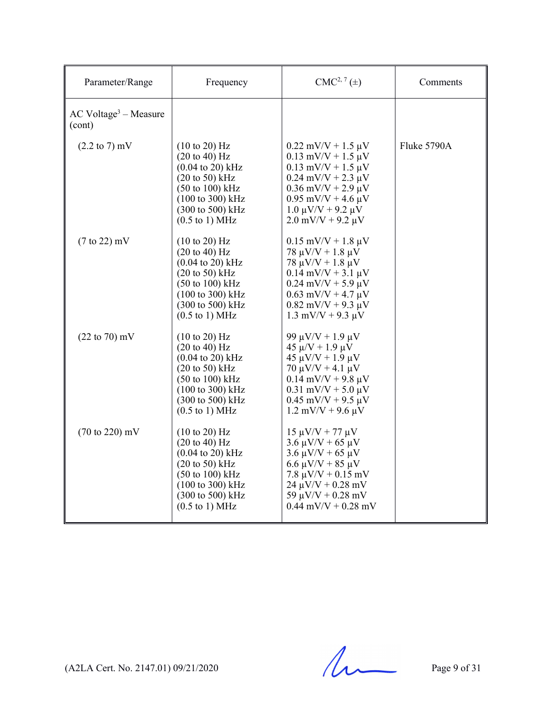| Parameter/Range                               | Frequency                                                                                                                                                                                                                                                              | $CMC2, 7(\pm)$                                                                                                                                                                                                                      | Comments    |
|-----------------------------------------------|------------------------------------------------------------------------------------------------------------------------------------------------------------------------------------------------------------------------------------------------------------------------|-------------------------------------------------------------------------------------------------------------------------------------------------------------------------------------------------------------------------------------|-------------|
| $AC$ Voltage <sup>3</sup> – Measure<br>(cont) |                                                                                                                                                                                                                                                                        |                                                                                                                                                                                                                                     |             |
| $(2.2 \text{ to } 7) \text{ mV}$              | $(10 \text{ to } 20)$ Hz<br>$(20 \text{ to } 40) \text{ Hz}$<br>$(0.04 \text{ to } 20) \text{ kHz}$<br>$(20 \text{ to } 50)$ kHz<br>$(50 \text{ to } 100) \text{ kHz}$<br>$(100 \text{ to } 300) \text{ kHz}$<br>(300 to 500) kHz<br>$(0.5 \text{ to } 1) \text{ MHz}$ | $0.22$ mV/V + 1.5 $\mu$ V<br>$0.13$ mV/V + 1.5 $\mu$ V<br>$0.13$ mV/V + 1.5 $\mu$ V<br>$0.24$ mV/V + 2.3 $\mu$ V<br>$0.36$ mV/V + 2.9 $\mu$ V<br>$0.95$ mV/V + 4.6 $\mu$ V<br>$1.0 \mu V/V + 9.2 \mu V$<br>$2.0$ mV/V + 9.2 $\mu$ V | Fluke 5790A |
| $(7 \text{ to } 22)$ mV                       | $(10 \text{ to } 20)$ Hz<br>$(20 \text{ to } 40)$ Hz<br>$(0.04 \text{ to } 20) \text{ kHz}$<br>$(20 \text{ to } 50)$ kHz<br>$(50 \text{ to } 100) \text{ kHz}$<br>$(100 \text{ to } 300) \text{ kHz}$<br>(300 to 500) kHz<br>$(0.5 \text{ to } 1) \text{ MHz}$         | $0.15$ mV/V + 1.8 $\mu$ V<br>$78 \mu V/V + 1.8 \mu V$<br>$78 \mu V/V + 1.8 \mu V$<br>$0.14$ mV/V + 3.1 $\mu$ V<br>$0.24$ mV/V + 5.9 $\mu$ V<br>$0.63$ mV/V + 4.7 $\mu$ V<br>$0.82$ mV/V + 9.3 $\mu$ V<br>$1.3$ mV/V + 9.3 $\mu$ V   |             |
| $(22 \text{ to } 70) \text{ mV}$              | $(10 \text{ to } 20)$ Hz<br>(20 to 40) Hz<br>$(0.04 \text{ to } 20) \text{ kHz}$<br>$(20 \text{ to } 50)$ kHz<br>$(50 \text{ to } 100) \text{ kHz}$<br>(100 to 300) kHz<br>(300 to 500) kHz<br>$(0.5 \text{ to } 1) \text{ MHz}$                                       | 99 μV/V + 1.9 μV<br>$45 \mu/V + 1.9 \mu V$<br>$45 \mu V/V + 1.9 \mu V$<br>70 μV/V + 4.1 μV<br>$0.14$ mV/V + 9.8 µV<br>$0.31$ mV/V + 5.0 $\mu$ V<br>$0.45$ mV/V + 9.5 $\mu$ V<br>$1.2$ mV/V + 9.6 $\mu$ V                            |             |
| $(70 \text{ to } 220) \text{ mV}$             | $(10 \text{ to } 20)$ Hz<br>$(20 \text{ to } 40)$ Hz<br>$(0.04 \text{ to } 20) \text{ kHz}$<br>$(20 \text{ to } 50)$ kHz<br>$(50 \text{ to } 100) \text{ kHz}$<br>$(100 \text{ to } 300) \text{ kHz}$<br>(300 to 500) kHz<br>$(0.5 \text{ to } 1) \text{ MHz}$         | $15 \mu V/V + 77 \mu V$<br>$3.6 \mu V/V + 65 \mu V$<br>$3.6 \mu V/V + 65 \mu V$<br>$6.6 \mu V/V + 85 \mu V$<br>$7.8 \mu V/V + 0.15 \ mV$<br>$24 \mu V/V + 0.28 \ mV$<br>59 $\mu$ V/V + 0.28 mV<br>$0.44$ mV/V + $0.28$ mV           |             |

 $(A2LA$  Cert. No. 2147.01) 09/21/2020 Page 9 of 31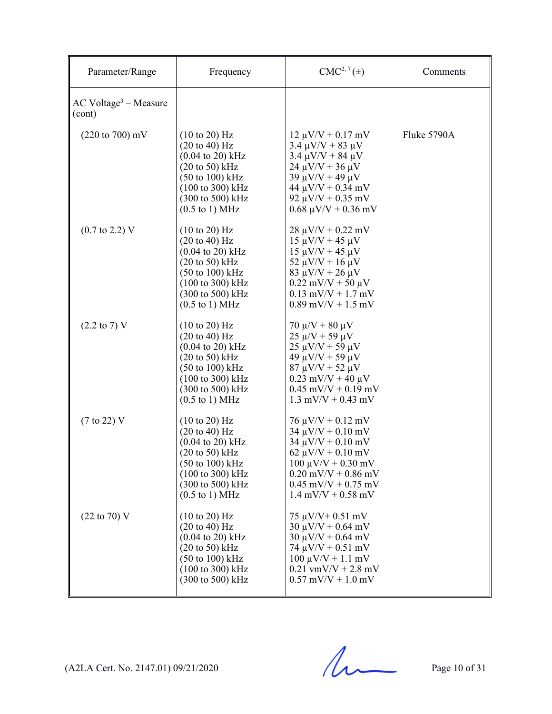| Parameter/Range                               | Frequency                                                                                                                                                                                                                                                                                 | $CMC2, 7(\pm)$                                                                                                                                                                                                                            | Comments    |
|-----------------------------------------------|-------------------------------------------------------------------------------------------------------------------------------------------------------------------------------------------------------------------------------------------------------------------------------------------|-------------------------------------------------------------------------------------------------------------------------------------------------------------------------------------------------------------------------------------------|-------------|
| $AC$ Voltage <sup>3</sup> – Measure<br>(cont) |                                                                                                                                                                                                                                                                                           |                                                                                                                                                                                                                                           |             |
| $(220 \text{ to } 700) \text{ mV}$            | $(10 \text{ to } 20)$ Hz<br>$(20 \text{ to } 40) \text{ Hz}$<br>$(0.04 \text{ to } 20) \text{ kHz}$<br>$(20 \text{ to } 50)$ kHz<br>$(50 \text{ to } 100) \text{ kHz}$<br>(100 to 300) kHz<br>(300 to 500) kHz<br>$(0.5 \text{ to } 1) \text{ MHz}$                                       | $12 \mu V/V + 0.17 \text{ mV}$<br>$3.4 \mu V/V + 83 \mu V$<br>$3.4 \mu V/V + 84 \mu V$<br>$24 \mu V/V + 36 \mu V$<br>$39 \mu V/V + 49 \mu V$<br>$44 \mu V/V + 0.34 \ mV$<br>92 $\mu$ V/V + 0.35 mV<br>$0.68 \mu V/V + 0.36 \ mV$          | Fluke 5790A |
| $(0.7 \text{ to } 2.2) \text{ V}$             | $(10 \text{ to } 20)$ Hz<br>$(20 \text{ to } 40) \text{ Hz}$<br>$(0.04 \text{ to } 20) \text{ kHz}$<br>$(20 \text{ to } 50)$ kHz<br>$(50 \text{ to } 100) \text{ kHz}$<br>$(100 \text{ to } 300) \text{ kHz}$<br>$(300 \text{ to } 500) \text{ kHz}$<br>$(0.5 \text{ to } 1) \text{ MHz}$ | $28 \mu V/V + 0.22 \ mV$<br>$15 \mu V/V + 45 \mu V$<br>$15 \mu V/V + 45 \mu V$<br>$52 \mu V/V + 16 \mu V$<br>$83 \mu V/V + 26 \mu V$<br>$0.22$ mV/V + 50 $\mu$ V<br>$0.13$ mV/V + 1.7 mV<br>$0.89$ mV/V + 1.5 mV                          |             |
| $(2.2 \text{ to } 7) \text{ V}$               | $(10 \text{ to } 20)$ Hz<br>$(20 \text{ to } 40) \text{ Hz}$<br>$(0.04 \text{ to } 20) \text{ kHz}$<br>$(20 \text{ to } 50)$ kHz<br>$(50 \text{ to } 100) \text{ kHz}$<br>$(100 \text{ to } 300) \text{ kHz}$<br>(300 to 500) kHz<br>$(0.5 \text{ to } 1) \text{ MHz}$                    | $70 \mu/V + 80 \mu V$<br>$25 \mu/V + 59 \mu V$<br>$25 \mu V/V + 59 \mu V$<br>$49 \mu V/V + 59 \mu V$<br>$87 \mu V/V + 52 \mu V$<br>$0.23$ mV/V + 40 $\mu$ V<br>$0.45$ mV/V + $0.19$ mV<br>$1.3$ mV/V + 0.43 mV                            |             |
| $(7 \text{ to } 22)$ V                        | $(10 \text{ to } 20)$ Hz<br>$(20 \text{ to } 40) \text{ Hz}$<br>$(0.04 \text{ to } 20) \text{ kHz}$<br>$(20 \text{ to } 50)$ kHz<br>$(50 \text{ to } 100) \text{ kHz}$<br>(100 to 300) kHz<br>(300 to 500) kHz<br>$(0.5 \text{ to } 1) \text{ MHz}$                                       | $76 \mu V/V + 0.12 \text{ mV}$<br>$34 \mu V/V + 0.10 \text{ mV}$<br>$34 \mu V/V + 0.10 \text{ mV}$<br>62 $\mu$ V/V + 0.10 mV<br>$100 \mu V/V + 0.30 \text{ mV}$<br>$0.20$ mV/V + 0.86 mV<br>$0.45$ mV/V + 0.75 mV<br>$1.4$ mV/V + 0.58 mV |             |
| $(22 \text{ to } 70) \text{ V}$               | $(10 \text{ to } 20)$ Hz<br>$(20 \text{ to } 40)$ Hz<br>$(0.04 \text{ to } 20) \text{ kHz}$<br>$(20 \text{ to } 50)$ kHz<br>$(50 \text{ to } 100) \text{ kHz}$<br>(100 to 300) kHz<br>(300 to 500) kHz                                                                                    | $75 \mu V/V + 0.51 \ mV$<br>$30 \mu V/V + 0.64 \ mV$<br>$30 \mu V/V + 0.64 \ mV$<br>$74 \mu V/V + 0.51 \ mV$<br>$100 \mu V/V + 1.1 \text{ mV}$<br>$0.21$ vmV/V + 2.8 mV<br>$0.57$ mV/V + 1.0 mV                                           |             |

 $(A2LA$  Cert. No. 2147.01) 09/21/2020 Page 10 of 31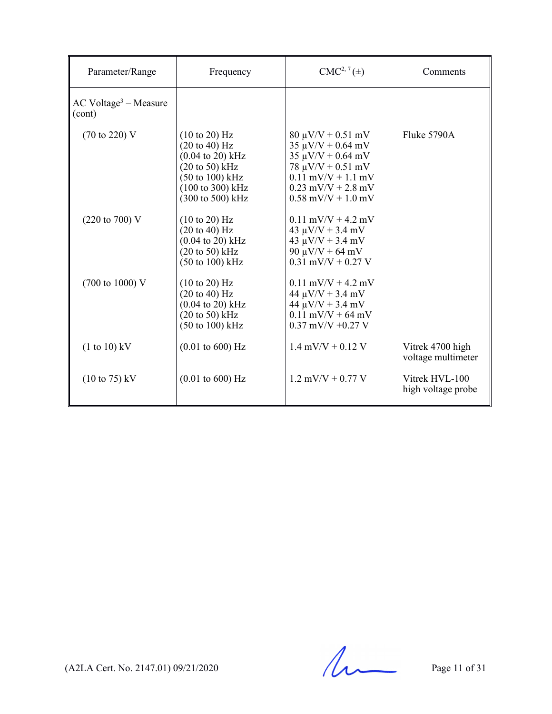| Parameter/Range                               | Frequency                                                                                                                                                                           | $CMC2, 7(\pm)$                                                                                                                                                                       | Comments                               |
|-----------------------------------------------|-------------------------------------------------------------------------------------------------------------------------------------------------------------------------------------|--------------------------------------------------------------------------------------------------------------------------------------------------------------------------------------|----------------------------------------|
| $AC$ Voltage <sup>3</sup> – Measure<br>(cont) |                                                                                                                                                                                     |                                                                                                                                                                                      |                                        |
| $(70 \text{ to } 220) \text{ V}$              | $(10 \text{ to } 20)$ Hz<br>$(20 \text{ to } 40)$ Hz<br>$(0.04 \text{ to } 20) \text{ kHz}$<br>$(20 \text{ to } 50)$ kHz<br>(50 to 100) kHz<br>(100 to 300) kHz<br>(300 to 500) kHz | $80 \mu V/V + 0.51 \ mV$<br>$35 \mu V/V + 0.64 \ mV$<br>$35 \mu V/V + 0.64 \ mV$<br>$78 \mu V/V + 0.51 \ mV$<br>$0.11$ mV/V + 1.1 mV<br>$0.23$ mV/V + 2.8 mV<br>$0.58$ mV/V + 1.0 mV | Fluke 5790A                            |
| $(220 \text{ to } 700) \text{ V}$             | $(10 \text{ to } 20)$ Hz<br>(20 to 40) Hz<br>$(0.04 \text{ to } 20) \text{ kHz}$<br>$(20 \text{ to } 50)$ kHz<br>$(50 \text{ to } 100) \text{ kHz}$                                 | $0.11$ mV/V + 4.2 mV<br>$43 \mu V/V + 3.4 \ mV$<br>$43 \mu V/V + 3.4 \ mV$<br>$90 \mu V/V + 64 \ mV$<br>$0.31$ mV/V + 0.27 V                                                         |                                        |
| $(700 \text{ to } 1000) \text{ V}$            | (10 to 20) Hz<br>$(20 \text{ to } 40)$ Hz<br>$(0.04 \text{ to } 20) \text{ kHz}$<br>$(20 \text{ to } 50)$ kHz<br>$(50 \text{ to } 100) \text{ kHz}$                                 | $0.11$ mV/V + 4.2 mV<br>$44 \mu V/V + 3.4 \ mV$<br>$44 \mu V/V + 3.4 \ mV$<br>$0.11$ mV/V + 64 mV<br>$0.37$ mV/V +0.27 V                                                             |                                        |
| $(1 to 10)$ kV                                | $(0.01 \text{ to } 600) \text{ Hz}$                                                                                                                                                 | $1.4$ mV/V + 0.12 V                                                                                                                                                                  | Vitrek 4700 high<br>voltage multimeter |
| $(10 \text{ to } 75) \text{ kV}$              | $(0.01 \text{ to } 600) \text{ Hz}$                                                                                                                                                 | $1.2$ mV/V + 0.77 V                                                                                                                                                                  | Vitrek HVL-100<br>high voltage probe   |

 $(A2LA$  Cert. No. 2147.01) 09/21/2020 Page 11 of 31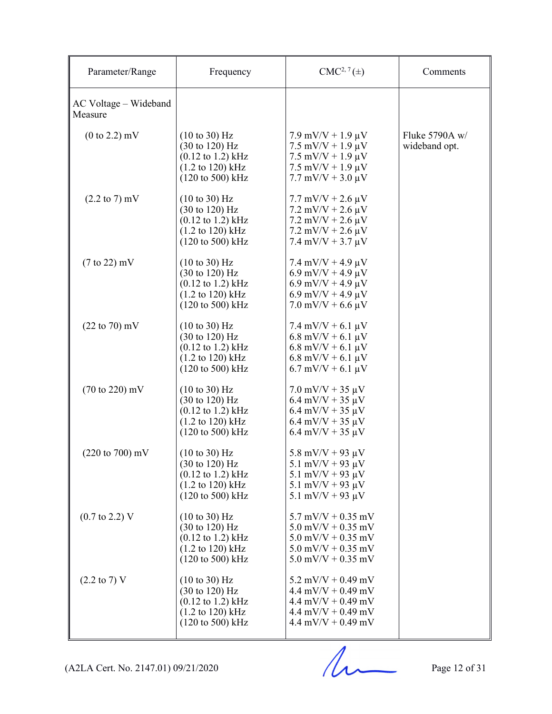| Parameter/Range                    | Frequency                                                                                                                                                                           | $CMC2, 7(\pm)$                                                                                                                                                                         | Comments                        |
|------------------------------------|-------------------------------------------------------------------------------------------------------------------------------------------------------------------------------------|----------------------------------------------------------------------------------------------------------------------------------------------------------------------------------------|---------------------------------|
| AC Voltage – Wideband<br>Measure   |                                                                                                                                                                                     |                                                                                                                                                                                        |                                 |
| $(0 to 2.2)$ mV                    | $(10 \text{ to } 30)$ Hz<br>$(30 \text{ to } 120) \text{ Hz}$<br>$(0.12 \text{ to } 1.2) \text{ kHz}$<br>$(1.2 \text{ to } 120) \text{ kHz}$<br>$(120 \text{ to } 500) \text{ kHz}$ | $7.9$ mV/V + $1.9 \mu$ V<br>$7.5$ mV/V + 1.9 $\mu$ V<br>$7.5$ mV/V + 1.9 $\mu$ V<br>$7.5 \text{ mV/V} + 1.9 \mu\text{V}$<br>$7.7 \text{ mV/V} + 3.0 \text{ }\mu\text{V}$               | Fluke 5790A w/<br>wideband opt. |
| $(2.2 \text{ to } 7) \text{ mV}$   | $(10 \text{ to } 30)$ Hz<br>(30 to 120) Hz<br>$(0.12 \text{ to } 1.2) \text{ kHz}$<br>$(1.2 \text{ to } 120) \text{ kHz}$<br>$(120 \text{ to } 500) \text{ kHz}$                    | $7.7 \text{ mV/V} + 2.6 \mu V$<br>$7.2 \text{ mV/V} + 2.6 \text{ }\mu\text{V}$<br>$7.2 \text{ mV/V} + 2.6 \text{ }\mu\text{V}$<br>$7.2$ mV/V + 2.6 $\mu$ V<br>$7.4$ mV/V + 3.7 $\mu$ V |                                 |
| $(7 \text{ to } 22)$ mV            | $(10 \text{ to } 30)$ Hz<br>$(30 \text{ to } 120) \text{ Hz}$<br>$(0.12 \text{ to } 1.2) \text{ kHz}$<br>$(1.2 \text{ to } 120) \text{ kHz}$<br>$(120 \text{ to } 500) \text{ kHz}$ | $7.4$ mV/V + 4.9 $\mu$ V<br>$6.9$ mV/V + 4.9 $\mu$ V<br>$6.9$ mV/V + 4.9 $\mu$ V<br>$6.9$ mV/V + 4.9 $\mu$ V<br>$7.0$ mV/V + 6.6 $\mu$ V                                               |                                 |
| $(22 \text{ to } 70) \text{ mV}$   | $(10 \text{ to } 30)$ Hz<br>$(30 \text{ to } 120) \text{ Hz}$<br>$(0.12 \text{ to } 1.2) \text{ kHz}$<br>$(1.2 \text{ to } 120) \text{ kHz}$<br>$(120 \text{ to } 500) \text{ kHz}$ | $7.4$ mV/V + 6.1 $\mu$ V<br>$6.8$ mV/V + $6.1 \mu$ V<br>$6.8$ mV/V + $6.1 \mu$ V<br>$6.8$ mV/V + $6.1 \mu$ V<br>$6.7$ mV/V + $6.1 \mu$ V                                               |                                 |
| $(70 \text{ to } 220) \text{ mV}$  | $(10 \text{ to } 30)$ Hz<br>$(30 \text{ to } 120) \text{ Hz}$<br>$(0.12 \text{ to } 1.2) \text{ kHz}$<br>$(1.2 \text{ to } 120) \text{ kHz}$<br>$(120 \text{ to } 500) \text{ kHz}$ | $7.0$ mV/V + 35 $\mu$ V<br>$6.4$ mV/V + 35 $\mu$ V<br>$6.4$ mV/V + 35 $\mu$ V<br>$6.4$ mV/V + 35 $\mu$ V<br>$6.4$ mV/V + 35 $\mu$ V                                                    |                                 |
| $(220 \text{ to } 700) \text{ mV}$ | $(10 \text{ to } 30)$ Hz<br>(30 to 120) Hz<br>$(0.12 \text{ to } 1.2) \text{ kHz}$<br>$(1.2 \text{ to } 120) \text{ kHz}$<br>$(120 \text{ to } 500) \text{ kHz}$                    | 5.8 mV/V + 93 $\mu$ V<br>5.1 mV/V + 93 $\mu$ V<br>5.1 mV/V + 93 $\mu$ V<br>5.1 mV/V + 93 $\mu$ V<br>5.1 mV/V + 93 $\mu$ V                                                              |                                 |
| $(0.7 \text{ to } 2.2) \text{ V}$  | $(10 \text{ to } 30)$ Hz<br>$(30 \text{ to } 120) \text{ Hz}$<br>$(0.12 \text{ to } 1.2) \text{ kHz}$<br>$(1.2 \text{ to } 120) \text{ kHz}$<br>$(120 \text{ to } 500) \text{ kHz}$ | $5.7$ mV/V + 0.35 mV<br>$5.0$ mV/V + 0.35 mV<br>$5.0$ mV/V + 0.35 mV<br>$5.0$ mV/V + 0.35 mV<br>$5.0$ mV/V + 0.35 mV                                                                   |                                 |
| $(2.2 \text{ to } 7) \text{ V}$    | $(10 \text{ to } 30)$ Hz<br>$(30 \text{ to } 120) \text{ Hz}$<br>$(0.12 \text{ to } 1.2) \text{ kHz}$<br>$(1.2 \text{ to } 120) \text{ kHz}$<br>$(120 \text{ to } 500) \text{ kHz}$ | $5.2$ mV/V + 0.49 mV<br>$4.4$ mV/V + 0.49 mV<br>$4.4$ mV/V + 0.49 mV<br>$4.4$ mV/V + 0.49 mV<br>$4.4$ mV/V + 0.49 mV                                                                   |                                 |

(A2LA Cert. No. 2147.01) 09/21/2020 Page 12 of 31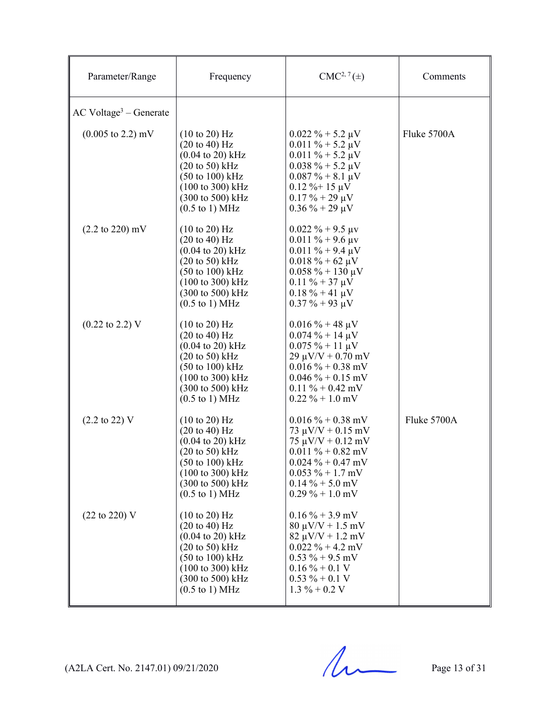| Parameter/Range                      | Frequency                                                                                                                                                                                                                                                                         | $CMC2, 7(\pm)$                                                                                                                                                                                        | Comments    |
|--------------------------------------|-----------------------------------------------------------------------------------------------------------------------------------------------------------------------------------------------------------------------------------------------------------------------------------|-------------------------------------------------------------------------------------------------------------------------------------------------------------------------------------------------------|-------------|
| $AC$ Voltage <sup>3</sup> – Generate |                                                                                                                                                                                                                                                                                   |                                                                                                                                                                                                       |             |
| $(0.005 \text{ to } 2.2) \text{ mV}$ | $(10 \text{ to } 20)$ Hz<br>$(20 \text{ to } 40)$ Hz<br>$(0.04 \text{ to } 20) \text{ kHz}$<br>$(20 \text{ to } 50)$ kHz<br>$(50 \text{ to } 100) \text{ kHz}$<br>$(100 \text{ to } 300) \text{ kHz}$<br>(300 to 500) kHz<br>$(0.5 \text{ to } 1) \text{ MHz}$                    | $0.022 \% + 5.2 \mu V$<br>$0.011 \% + 5.2 \mu V$<br>$0.011 \% + 5.2 \mu V$<br>$0.038 \% + 5.2 \mu V$<br>$0.087 \% + 8.1 \mu V$<br>$0.12 \%$ + 15 µV<br>$0.17 \% + 29 \mu V$<br>$0.36\% + 29 \mu V$    | Fluke 5700A |
| $(2.2 \text{ to } 220) \text{ mV}$   | (10 to 20) Hz<br>$(20 \text{ to } 40) \text{ Hz}$<br>$(0.04 \text{ to } 20) \text{ kHz}$<br>$(20 \text{ to } 50)$ kHz<br>$(50 \text{ to } 100) \text{ kHz}$<br>(100 to 300) kHz<br>(300 to 500) kHz<br>$(0.5 \text{ to } 1) \text{ MHz}$                                          | $0.022 \% + 9.5 \mu v$<br>$0.011 \% + 9.6 \mu v$<br>$0.011 \% + 9.4 \mu V$<br>$0.018 \% + 62 \mu V$<br>$0.058 \% + 130 \mu V$<br>$0.11 \% + 37 \mu V$<br>$0.18 \% + 41 \mu V$<br>$0.37 \% + 93 \mu V$ |             |
| $(0.22 \text{ to } 2.2) \text{ V}$   | $(10 \text{ to } 20)$ Hz<br>$(20 \text{ to } 40) \text{ Hz}$<br>$(0.04 \text{ to } 20) \text{ kHz}$<br>$(20 \text{ to } 50)$ kHz<br>$(50 \text{ to } 100) \text{ kHz}$<br>(100 to 300) kHz<br>(300 to 500) kHz<br>$(0.5 \text{ to } 1) \text{ MHz}$                               | $0.016 \% + 48 \mu V$<br>$0.074 \% + 14 \mu V$<br>$0.075 \% + 11 \mu V$<br>$29 \mu V/V + 0.70 \ mV$<br>$0.016\% + 0.38$ mV<br>$0.046 \% + 0.15$ mV<br>$0.11 \% + 0.42$ mV<br>$0.22 \% + 1.0$ mV       |             |
| $(2.2 \text{ to } 22) \text{ V}$     | $(10 \text{ to } 20)$ Hz<br>$(20 \text{ to } 40)$ Hz<br>$(0.04 \text{ to } 20) \text{ kHz}$<br>$(20 \text{ to } 50)$ kHz<br>$(50 \text{ to } 100) \text{ kHz}$<br>(100 to 300) kHz<br>$(300 \text{ to } 500) \text{ kHz}$<br>$(0.5 \text{ to } 1) \text{ MHz}$                    | $0.016\% + 0.38$ mV<br>73 $\mu$ V/V + 0.15 mV<br>$75 \mu V/V + 0.12 \ mV$<br>$0.011 \% + 0.82$ mV<br>$0.024 \% + 0.47$ mV<br>$0.053 \% + 1.7$ mV<br>$0.14\% + 5.0$ mV<br>$0.29\% + 1.0$ mV            | Fluke 5700A |
| $(22 \text{ to } 220)$ V             | $(10 \text{ to } 20)$ Hz<br>$(20 \text{ to } 40)$ Hz<br>$(0.04 \text{ to } 20) \text{ kHz}$<br>$(20 \text{ to } 50)$ kHz<br>$(50 \text{ to } 100) \text{ kHz}$<br>$(100 \text{ to } 300) \text{ kHz}$<br>$(300 \text{ to } 500) \text{ kHz}$<br>$(0.5 \text{ to } 1) \text{ MHz}$ | $0.16\% + 3.9$ mV<br>$80 \mu V/V + 1.5 \ mV$<br>$82 \mu V/V + 1.2 \mbox{ mV}$<br>$0.022 \% + 4.2$ mV<br>$0.53 \% + 9.5$ mV<br>$0.16 \% + 0.1 V$<br>$0.53 \% + 0.1 V$<br>$1.3 \% + 0.2 V$              |             |

 $(A2LA$  Cert. No. 2147.01) 09/21/2020 Page 13 of 31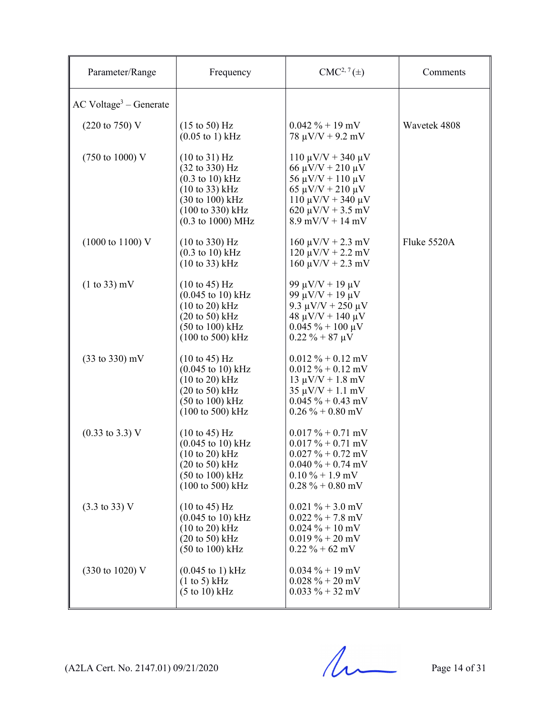| Parameter/Range                      | Frequency                                                                                                                                                                                                                       | $CMC2, 7(\pm)$                                                                                                                                                                       | Comments     |
|--------------------------------------|---------------------------------------------------------------------------------------------------------------------------------------------------------------------------------------------------------------------------------|--------------------------------------------------------------------------------------------------------------------------------------------------------------------------------------|--------------|
| $AC$ Voltage <sup>3</sup> – Generate |                                                                                                                                                                                                                                 |                                                                                                                                                                                      |              |
| $(220 \text{ to } 750) \text{ V}$    | $(15 \text{ to } 50) \text{ Hz}$<br>$(0.05 \text{ to } 1) \text{ kHz}$                                                                                                                                                          | $0.042 \% + 19$ mV<br>$78 \mu V/V + 9.2 \ mV$                                                                                                                                        | Wavetek 4808 |
| $(750 \text{ to } 1000) \text{ V}$   | $(10 \text{ to } 31)$ Hz<br>$(32 \text{ to } 330) \text{ Hz}$<br>$(0.3 \text{ to } 10) \text{ kHz}$<br>$(10 \text{ to } 33)$ kHz<br>(30 to 100) kHz<br>(100 to 330) kHz<br>$(0.3 \text{ to } 1000) \text{ MHz}$                 | $110 \mu V/V + 340 \mu V$<br>66 μV/V + 210 μV<br>$56 \mu V/V + 110 \mu V$<br>$65 \mu V/V + 210 \mu V$<br>$110 \mu V/V + 340 \mu V$<br>$620 \mu V/V + 3.5 \ mV$<br>$8.9$ mV/V + 14 mV |              |
| $(1000 \text{ to } 1100) \text{ V}$  | $(10 \text{ to } 330) \text{ Hz}$<br>$(0.3 \text{ to } 10)$ kHz<br>$(10 \text{ to } 33)$ kHz                                                                                                                                    | $160 \mu V/V + 2.3 \ mV$<br>$120 \mu V/V + 2.2 \ mV$<br>$160 \mu V/V + 2.3 \ mV$                                                                                                     | Fluke 5520A  |
| $(1 to 33)$ mV                       | $(10 \text{ to } 45) \text{ Hz}$<br>$(0.045 \text{ to } 10) \text{ kHz}$<br>$(10 to 20)$ kHz<br>$(20 \text{ to } 50) \text{ kHz}$<br>$(50 \text{ to } 100) \text{ kHz}$<br>$(100 \text{ to } 500) \text{ kHz}$                  | 99 μV/V + 19 μV<br>99 $\mu$ V/V + 19 $\mu$ V<br>9.3 $\mu$ V/V + 250 $\mu$ V<br>$48 \mu V/V + 140 \mu V$<br>$0.045 \% + 100 \mu V$<br>$0.22 \% + 87 \mu V$                            |              |
| $(33 \text{ to } 330) \text{ mV}$    | $(10 \text{ to } 45) \text{ Hz}$<br>$(0.045 \text{ to } 10) \text{ kHz}$<br>$(10 \text{ to } 20) \text{ kHz}$<br>$(20 \text{ to } 50) \text{ kHz}$<br>$(50 \text{ to } 100) \text{ kHz}$<br>$(100 \text{ to } 500) \text{ kHz}$ | $0.012 \% + 0.12$ mV<br>$0.012 \% + 0.12$ mV<br>$13 \mu V/V + 1.8 \ mV$<br>$35 \mu V/V + 1.1 \ mV$<br>$0.045 \% + 0.43$ mV<br>$0.26\% + 0.80$ mV                                     |              |
| $(0.33 \text{ to } 3.3) \text{ V}$   | (10 to 45) Hz<br>$(0.045 \text{ to } 10) \text{ kHz}$<br>$(10 \text{ to } 20)$ kHz<br>$(20 \text{ to } 50)$ kHz<br>(50 to 100) kHz<br>(100 to 500) kHz                                                                          | $0.017 \% + 0.71$ mV<br>$0.017 \% + 0.71$ mV<br>$0.027 \% + 0.72$ mV<br>$0.040 \% + 0.74$ mV<br>$0.10\% + 1.9$ mV<br>$0.28\% + 0.80$ mV                                              |              |
| $(3.3 \text{ to } 33) \text{ V}$     | $(10 \text{ to } 45) \text{ Hz}$<br>$(0.045 \text{ to } 10) \text{ kHz}$<br>$(10 \text{ to } 20)$ kHz<br>$(20 \text{ to } 50)$ kHz<br>$(50 \text{ to } 100) \text{ kHz}$                                                        | $0.021 \% + 3.0$ mV<br>$0.022 \% + 7.8$ mV<br>$0.024 \% + 10$ mV<br>$0.019\% + 20$ mV<br>$0.22 \% + 62$ mV                                                                           |              |
| (330 to 1020) V                      | $(0.045 \text{ to } 1) \text{ kHz}$<br>(1 to 5) kHz<br>$(5 \text{ to } 10) \text{ kHz}$                                                                                                                                         | $0.034 \% + 19$ mV<br>$0.028 \% + 20$ mV<br>$0.033 \% + 32$ mV                                                                                                                       |              |

 $(A2LA$  Cert. No. 2147.01) 09/21/2020 Page 14 of 31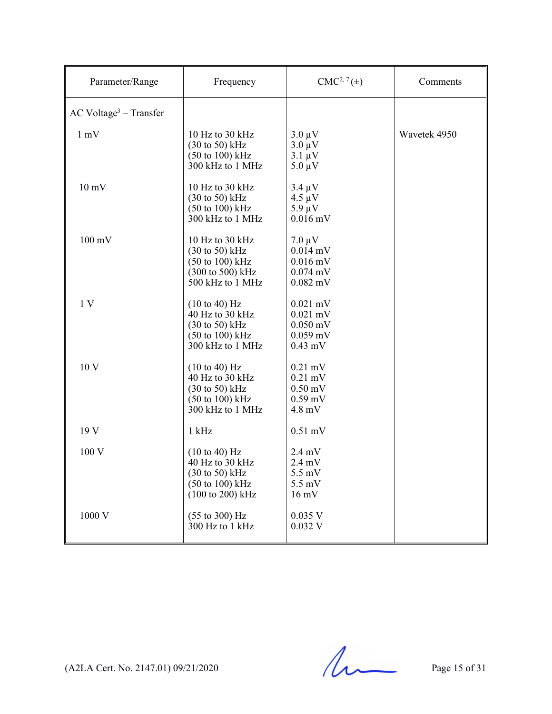| Parameter/Range                      | Frequency                                                                                                                                          | $CMC2, 7(\pm)$                                                                                  | Comments     |
|--------------------------------------|----------------------------------------------------------------------------------------------------------------------------------------------------|-------------------------------------------------------------------------------------------------|--------------|
| $AC$ Voltage <sup>3</sup> – Transfer |                                                                                                                                                    |                                                                                                 |              |
| $1 \text{ mV}$                       | 10 Hz to 30 kHz<br>$(30 \text{ to } 50)$ kHz<br>$(50 \text{ to } 100) \text{ kHz}$<br>300 kHz to 1 MHz                                             | $3.0 \mu V$<br>$3.0 \mu V$<br>$3.1 \mu V$<br>$5.0 \mu V$                                        | Wavetek 4950 |
| $10 \text{ mV}$                      | 10 Hz to 30 kHz<br>$(30 \text{ to } 50)$ kHz<br>$(50 \text{ to } 100) \text{ kHz}$<br>300 kHz to 1 MHz                                             | $3.4 \mu V$<br>$4.5 \mu V$<br>$5.9 \mu V$<br>$0.016$ mV                                         |              |
| $100 \text{ mV}$                     | 10 Hz to 30 kHz<br>$(30 \text{ to } 50)$ kHz<br>$(50 \text{ to } 100) \text{ kHz}$<br>(300 to 500) kHz<br>500 kHz to 1 MHz                         | $7.0 \mu V$<br>$0.014$ mV<br>$0.016$ mV<br>$0.074$ mV<br>$0.082$ mV                             |              |
| 1 <sub>V</sub>                       | (10 to 40) Hz<br>40 Hz to 30 kHz<br>$(30 \text{ to } 50)$ kHz<br>$(50 \text{ to } 100) \text{ kHz}$<br>300 kHz to 1 MHz                            | $0.021$ mV<br>$0.021$ mV<br>$0.050$ mV<br>$0.059$ mV<br>$0.43$ mV                               |              |
| 10 V                                 | $(10 \text{ to } 40) \text{ Hz}$<br>40 Hz to 30 kHz<br>$(30 \text{ to } 50)$ kHz<br>$(50 \text{ to } 100) \text{ kHz}$<br>300 kHz to 1 MHz         | $0.21$ mV<br>$0.21$ mV<br>$0.50$ mV<br>$0.59$ mV<br>$4.8$ mV                                    |              |
| 19 V                                 | $1$ kHz                                                                                                                                            | $0.51$ mV                                                                                       |              |
| 100 V                                | (10 to 40) Hz<br>40 Hz to 30 kHz<br>$(30 \text{ to } 50) \text{ kHz}$<br>$(50 \text{ to } 100) \text{ kHz}$<br>$(100 \text{ to } 200) \text{ kHz}$ | $2.4 \text{ mV}$<br>$2.4 \text{ mV}$<br>$5.5 \text{ mV}$<br>$5.5 \text{ mV}$<br>$16 \text{ mV}$ |              |
| 1000 V                               | $(55 \text{ to } 300) \text{ Hz}$<br>300 Hz to 1 kHz                                                                                               | 0.035 V<br>$0.032$ V                                                                            |              |

 $(A2LA$  Cert. No. 2147.01) 09/21/2020 Page 15 of 31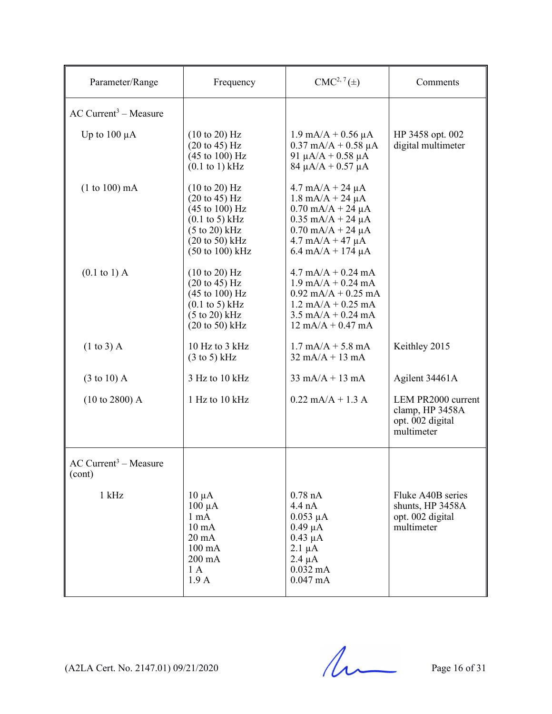| Parameter/Range                               | Frequency                                                                                                                                                                                                                  | $CMC2, 7(\pm)$                                                                                                                                                                                                                                  | Comments                                                                |
|-----------------------------------------------|----------------------------------------------------------------------------------------------------------------------------------------------------------------------------------------------------------------------------|-------------------------------------------------------------------------------------------------------------------------------------------------------------------------------------------------------------------------------------------------|-------------------------------------------------------------------------|
| $AC$ Current <sup>3</sup> – Measure           |                                                                                                                                                                                                                            |                                                                                                                                                                                                                                                 |                                                                         |
| Up to $100 \mu A$                             | (10 to 20) Hz<br>$(20 \text{ to } 45) \text{ Hz}$<br>$(45 \text{ to } 100) \text{ Hz}$<br>$(0.1 \text{ to } 1) \text{ kHz}$                                                                                                | $1.9 \text{ mA/A} + 0.56 \mu\text{A}$<br>$0.37$ mA/A + $0.58$ µA<br>91 $\mu$ A/A + 0.58 $\mu$ A<br>$84 \mu A/A + 0.57 \mu A$                                                                                                                    | HP 3458 opt. 002<br>digital multimeter                                  |
| $(1 to 100)$ mA                               | $(10 \text{ to } 20)$ Hz<br>$(20 \text{ to } 45) \text{ Hz}$<br>$(45 \text{ to } 100) \text{ Hz}$<br>$(0.1 \text{ to } 5) \text{ kHz}$<br>$(5 \text{ to } 20) \text{ kHz}$<br>$(20 \text{ to } 50)$ kHz<br>(50 to 100) kHz | $4.7 \text{ mA/A} + 24 \mu\text{A}$<br>$1.8 \text{ mA/A} + 24 \mu\text{A}$<br>$0.70$ mA/A + 24 $\mu$ A<br>$0.35$ mA/A + 24 $\mu$ A<br>$0.70$ mA/A + 24 $\mu$ A<br>$4.7 \text{ mA}/A + 47 \mu A$<br>$6.4 \text{ mA/A} + 174 \text{ }\mu\text{A}$ |                                                                         |
| $(0.1 \text{ to } 1)$ A                       | (10 to 20) Hz<br>$(20 \text{ to } 45)$ Hz<br>$(45 \text{ to } 100) \text{ Hz}$<br>$(0.1 \text{ to } 5) \text{ kHz}$<br>$(5 \text{ to } 20) \text{ kHz}$<br>$(20 \text{ to } 50) \text{ kHz}$                               | $4.7 \text{ mA/A} + 0.24 \text{ mA}$<br>$1.9 \text{ mA/A} + 0.24 \text{ mA}$<br>$0.92$ mA/A + 0.25 mA<br>$1.2$ mA/A + 0.25 mA<br>$3.5 \text{ mA/A} + 0.24 \text{ mA}$<br>$12 \text{ mA/A} + 0.47 \text{ mA}$                                    |                                                                         |
| $(1 \text{ to } 3)$ A                         | 10 Hz to 3 kHz<br>$(3 \text{ to } 5)$ kHz                                                                                                                                                                                  | $1.7 \text{ mA/A} + 5.8 \text{ mA}$<br>$32 \text{ mA}/A + 13 \text{ mA}$                                                                                                                                                                        | Keithley 2015                                                           |
| $(3 \text{ to } 10)$ A                        | 3 Hz to 10 kHz                                                                                                                                                                                                             | $33 \text{ mA/A} + 13 \text{ mA}$                                                                                                                                                                                                               | Agilent 34461A                                                          |
| $(10 \text{ to } 2800)$ A                     | 1 Hz to 10 kHz                                                                                                                                                                                                             | $0.22$ mA/A + 1.3 A                                                                                                                                                                                                                             | LEM PR2000 current<br>clamp, HP 3458A<br>opt. 002 digital<br>multimeter |
| $AC$ Current <sup>3</sup> – Measure<br>(cont) |                                                                                                                                                                                                                            |                                                                                                                                                                                                                                                 |                                                                         |
| $1$ kHz                                       | $10 \mu A$<br>$100 \mu A$<br>$1 \text{ mA}$<br>$10 \text{ mA}$<br>$20 \text{ mA}$<br>$100 \text{ mA}$<br>200 mA<br>1A<br>1.9 <sub>A</sub>                                                                                  | $0.78$ nA<br>$4.4 \text{ nA}$<br>$0.053 \mu A$<br>$0.49 \mu A$<br>$0.43 \mu A$<br>$2.1 \mu A$<br>$2.4 \mu A$<br>$0.032$ mA<br>$0.047$ mA                                                                                                        | Fluke A40B series<br>shunts, HP 3458A<br>opt. 002 digital<br>multimeter |

 $(A2LA$  Cert. No. 2147.01) 09/21/2020 Page 16 of 31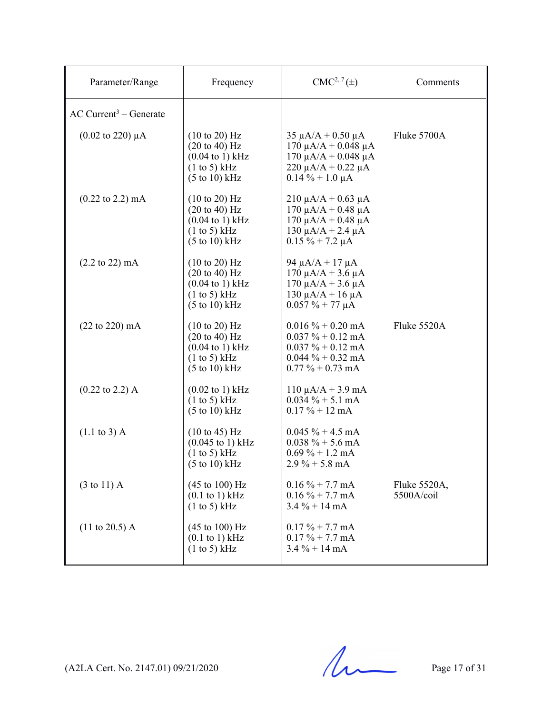| Parameter/Range                      | Frequency                                                                                                                                                         | $CMC2, 7(\pm)$                                                                                                                         | Comments                   |
|--------------------------------------|-------------------------------------------------------------------------------------------------------------------------------------------------------------------|----------------------------------------------------------------------------------------------------------------------------------------|----------------------------|
| $AC$ Current <sup>3</sup> – Generate |                                                                                                                                                                   |                                                                                                                                        |                            |
| $(0.02 \text{ to } 220) \mu\text{A}$ | $(10 \text{ to } 20)$ Hz<br>$(20 \text{ to } 40) \text{ Hz}$<br>$(0.04 \text{ to } 1) \text{ kHz}$<br>(1 to 5) kHz<br>$(5 \text{ to } 10) \text{ kHz}$            | $35 \mu A/A + 0.50 \mu A$<br>170 μA/A + 0.048 μA<br>170 μA/A + 0.048 μA<br>$220 \mu A/A + 0.22 \mu A$<br>$0.14\% + 1.0 \mu A$          | Fluke 5700A                |
| $(0.22 \text{ to } 2.2) \text{ mA}$  | $(10 \text{ to } 20)$ Hz<br>$(20 \text{ to } 40) \text{ Hz}$<br>$(0.04 \text{ to } 1) \text{ kHz}$<br>(1 to 5) kHz<br>$(5 \text{ to } 10) \text{ kHz}$            | $210 \mu A/A + 0.63 \mu A$<br>$170$ μA/A + 0.48 μA<br>170 μA/A + 0.48 μA<br>$130 \mu A/A + 2.4 \mu A$<br>$0.15 \% + 7.2 \mu A$         |                            |
| $(2.2 \text{ to } 22) \text{ mA}$    | (10 to 20) Hz<br>(20 to 40) Hz<br>$(0.04 \text{ to } 1) \text{ kHz}$<br>(1 to 5) kHz<br>$(5 \text{ to } 10) \text{ kHz}$                                          | $94 \mu A/A + 17 \mu A$<br>$170 \mu A/A + 3.6 \mu A$<br>$170 \mu A/A + 3.6 \mu A$<br>$130 \mu A/A + 16 \mu A$<br>$0.057 \% + 77 \mu A$ |                            |
| $(22 \text{ to } 220) \text{ mA}$    | $(10 \text{ to } 20)$ Hz<br>$(20 \text{ to } 40) \text{ Hz}$<br>$(0.04 \text{ to } 1) \text{ kHz}$<br>$(1 \text{ to } 5)$ kHz<br>$(5 \text{ to } 10) \text{ kHz}$ | $0.016 \% + 0.20$ mA<br>$0.037 \% + 0.12$ mA<br>$0.037 \% + 0.12$ mA<br>$0.044 \% + 0.32 mA$<br>$0.77\% + 0.73 \text{ mA}$             | Fluke 5520A                |
| $(0.22 \text{ to } 2.2)$ A           | $(0.02 \text{ to } 1) \text{ kHz}$<br>(1 to 5) kHz<br>$(5 \text{ to } 10) \text{ kHz}$                                                                            | $110 \mu A/A + 3.9 \text{ mA}$<br>$0.034 \% + 5.1 mA$<br>$0.17 \% + 12 mA$                                                             |                            |
| $(1.1 \text{ to } 3)$ A              | $(10 \text{ to } 45) \text{ Hz}$<br>$(0.045 \text{ to } 1) \text{ kHz}$<br>(1 to 5) kHz<br>$(5 \text{ to } 10) \text{ kHz}$                                       | $0.045 \% + 4.5 \text{ mA}$<br>$0.038 \% + 5.6 \text{ mA}$<br>$0.69\% + 1.2 \text{ mA}$<br>$2.9\% + 5.8 \text{ mA}$                    |                            |
| $(3 \text{ to } 11)$ A               | (45 to 100) Hz<br>$(0.1 \text{ to } 1) \text{ kHz}$<br>(1 to 5) kHz                                                                                               | $0.16 \% + 7.7$ mA<br>$0.16\% + 7.7 \text{ mA}$<br>$3.4\% + 14 \text{ mA}$                                                             | Fluke 5520A,<br>5500A/coil |
| $(11 \text{ to } 20.5)$ A            | $(45 \text{ to } 100) \text{ Hz}$<br>$(0.1$ to 1) kHz<br>(1 to 5) kHz                                                                                             | $0.17 \% + 7.7 mA$<br>$0.17 \% + 7.7 mA$<br>$3.4\% + 14 \text{ mA}$                                                                    |                            |

 $(A2LA$  Cert. No. 2147.01) 09/21/2020 Page 17 of 31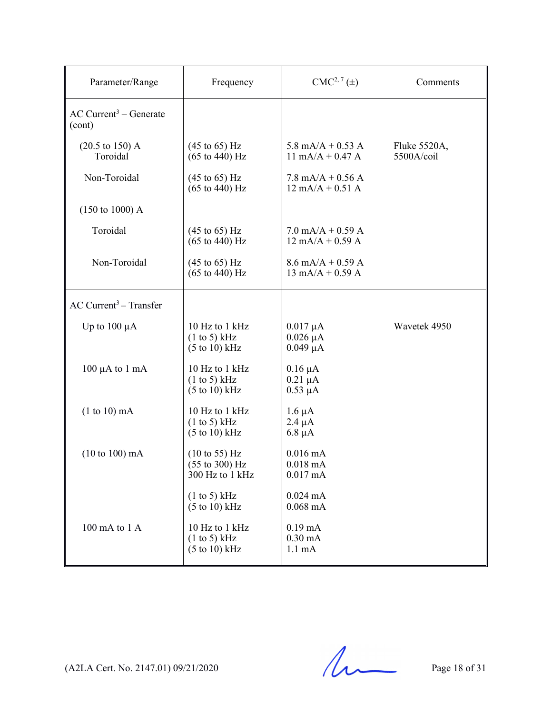| Parameter/Range                                | Frequency                                                                                | $CMC2, 7(\pm)$                                                            | Comments                   |
|------------------------------------------------|------------------------------------------------------------------------------------------|---------------------------------------------------------------------------|----------------------------|
| $AC$ Current <sup>3</sup> – Generate<br>(cont) |                                                                                          |                                                                           |                            |
| $(20.5 \text{ to } 150) \text{ A}$<br>Toroidal | $(45 \text{ to } 65) \text{ Hz}$<br>$(65 \text{ to } 440) \text{ Hz}$                    | 5.8 mA/A + 0.53 A<br>$11 \text{ mA/A} + 0.47 \text{ A}$                   | Fluke 5520A,<br>5500A/coil |
| Non-Toroidal                                   | $(45 \text{ to } 65) \text{ Hz}$<br>$(65 \text{ to } 440) \text{ Hz}$                    | $7.8 \text{ mA/A} + 0.56 \text{ A}$<br>$12 \text{ mA/A} + 0.51 \text{ A}$ |                            |
| $(150 \text{ to } 1000)$ A                     |                                                                                          |                                                                           |                            |
| Toroidal                                       | $(45 \text{ to } 65) \text{ Hz}$<br>$(65 \text{ to } 440) \text{ Hz}$                    | $7.0$ mA/A + 0.59 A<br>$12 \text{ mA/A} + 0.59 \text{ A}$                 |                            |
| Non-Toroidal                                   | $(45 \text{ to } 65) \text{ Hz}$<br>$(65 \text{ to } 440) \text{ Hz}$                    | $8.6$ mA/A + 0.59 A<br>$13 \text{ mA/A} + 0.59 \text{ A}$                 |                            |
| $AC$ Current <sup>3</sup> – Transfer           |                                                                                          |                                                                           |                            |
| Up to $100 \mu A$                              | 10 Hz to 1 kHz<br>(1 to 5) kHz<br>$(5 \text{ to } 10) \text{ kHz}$                       | $0.017 \mu A$<br>$0.026 \mu A$<br>$0.049 \mu A$                           | Wavetek 4950               |
| $100 \mu A$ to $1 \text{ mA}$                  | 10 Hz to 1 kHz<br>(1 to 5) kHz<br>$(5 \text{ to } 10) \text{ kHz}$                       | $0.16 \mu A$<br>$0.21 \mu A$<br>$0.53 \mu A$                              |                            |
| $(1 to 10)$ mA                                 | 10 Hz to 1 kHz<br>(1 to 5) kHz<br>$(5 \text{ to } 10) \text{ kHz}$                       | $1.6 \mu A$<br>$2.4 \mu A$<br>$6.8 \mu A$                                 |                            |
| $(10 to 100)$ mA                               | $(10 \text{ to } 55) \text{ Hz}$<br>$(55 \text{ to } 300) \text{ Hz}$<br>300 Hz to 1 kHz | $0.016$ mA<br>$0.018 \text{ mA}$<br>$0.017 \text{ mA}$                    |                            |
|                                                | (1 to 5) kHz<br>$(5 \text{ to } 10) \text{ kHz}$                                         | $0.024$ mA<br>$0.068 \text{ mA}$                                          |                            |
| $100 \text{ mA}$ to $1 \text{ A}$              | 10 Hz to 1 kHz<br>(1 to 5) kHz<br>$(5 \text{ to } 10) \text{ kHz}$                       | $0.19 \text{ mA}$<br>$0.30 \text{ mA}$<br>$1.1 \text{ mA}$                |                            |

 $(A2LA$  Cert. No. 2147.01) 09/21/2020 Page 18 of 31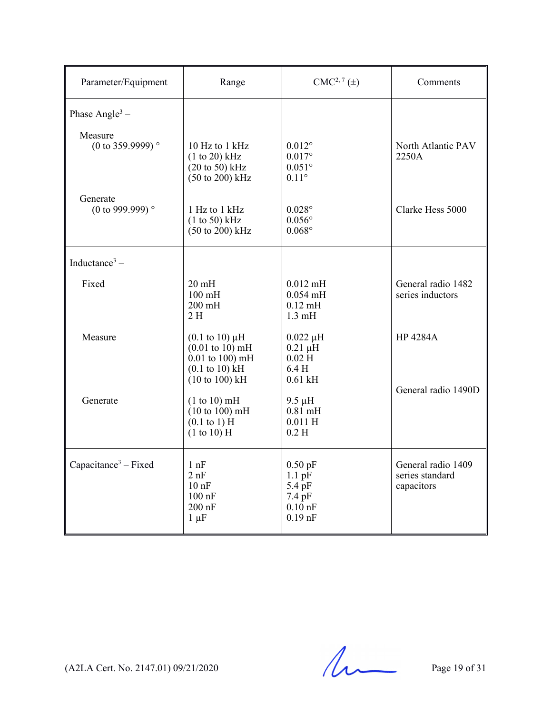| Parameter/Equipment                   | Range                                                                                                                                                | $CMC2, 7(\pm)$                                                      | Comments                                            |
|---------------------------------------|------------------------------------------------------------------------------------------------------------------------------------------------------|---------------------------------------------------------------------|-----------------------------------------------------|
| Phase Angle <sup>3</sup> –            |                                                                                                                                                      |                                                                     |                                                     |
| Measure<br>(0 to 359.9999) $^{\circ}$ | 10 Hz to 1 kHz<br>$(1 to 20)$ kHz<br>$(20 \text{ to } 50)$ kHz<br>$(50 \text{ to } 200) \text{ kHz}$                                                 | $0.012^{\circ}$<br>$0.017$ °<br>$0.051^\circ$<br>$0.11^\circ$       | North Atlantic PAV<br>2250A                         |
| Generate<br>(0 to 999.999) $^{\circ}$ | 1 Hz to 1 kHz<br>$(1 to 50)$ kHz<br>$(50 \text{ to } 200) \text{ kHz}$                                                                               | $0.028^\circ$<br>$0.056^\circ$<br>$0.068^\circ$                     | Clarke Hess 5000                                    |
| Inductance <sup>3</sup> $-$           |                                                                                                                                                      |                                                                     |                                                     |
| Fixed                                 | $20 \text{ mH}$<br>$100 \text{ mH}$<br>$200$ mH<br>2 H                                                                                               | $0.012$ mH<br>$0.054$ mH<br>$0.12 \text{ mH}$<br>$1.3 \text{ mH}$   | General radio 1482<br>series inductors              |
| Measure                               | $(0.1 \text{ to } 10) \mu H$<br>$(0.01 \text{ to } 10) \text{ mH}$<br>$0.01$ to $100$ ) mH<br>$(0.1 \text{ to } 10) \text{ kHz}$<br>$(10 to 100)$ kH | $0.022 \mu H$<br>$0.21 \mu H$<br>$0.02$ H<br>6.4H<br>$0.61$ kH      | <b>HP 4284A</b>                                     |
| Generate                              | (1 to 10) mH<br>(10 to 100) mH<br>$(0.1 \text{ to } 1) \text{ H}$<br>$(1 to 10)$ H                                                                   | $9.5 \mu H$<br>$0.81$ mH<br>$0.011$ H<br>0.2 <sub>H</sub>           | General radio 1490D                                 |
| Capacitance <sup>3</sup> – Fixed      | 1 nF<br>2 nF<br>$10$ nF<br>$100$ nF<br>$200$ nF<br>$1 \mu F$                                                                                         | $0.50$ pF<br>$1.1$ pF<br>5.4 pF<br>7.4 pF<br>$0.10$ nF<br>$0.19$ nF | General radio 1409<br>series standard<br>capacitors |

 $(A2LA$  Cert. No. 2147.01) 09/21/2020 Page 19 of 31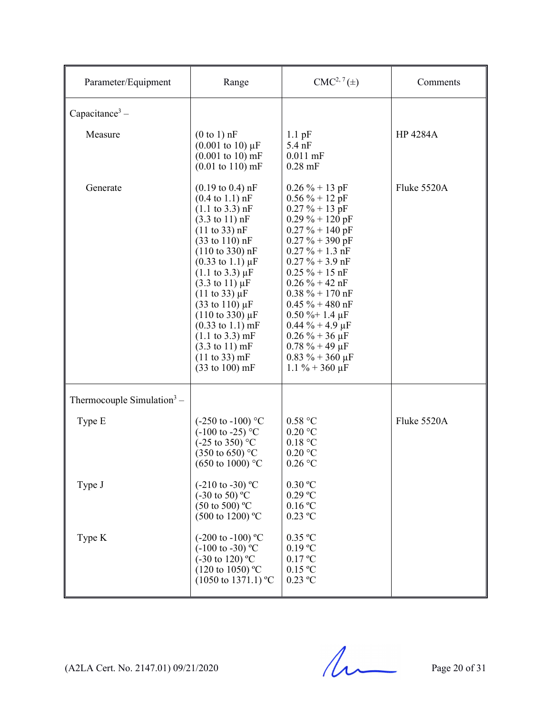| Parameter/Equipment                    | Range                                                                                                                                                                                                                                                                                                                                                                                                                                                                                                                                                                                                                                                                   | $CMC2, 7(\pm)$                                                                                                                                                                                                                                                                                                                                                                                                   | Comments        |
|----------------------------------------|-------------------------------------------------------------------------------------------------------------------------------------------------------------------------------------------------------------------------------------------------------------------------------------------------------------------------------------------------------------------------------------------------------------------------------------------------------------------------------------------------------------------------------------------------------------------------------------------------------------------------------------------------------------------------|------------------------------------------------------------------------------------------------------------------------------------------------------------------------------------------------------------------------------------------------------------------------------------------------------------------------------------------------------------------------------------------------------------------|-----------------|
| Capacitance <sup>3</sup> –             |                                                                                                                                                                                                                                                                                                                                                                                                                                                                                                                                                                                                                                                                         |                                                                                                                                                                                                                                                                                                                                                                                                                  |                 |
| Measure                                | $(0 to 1)$ nF<br>$(0.001 \text{ to } 10) \mu\text{F}$<br>$(0.001 \text{ to } 10) \text{ mF}$<br>$(0.01 \text{ to } 110) \text{ mF}$                                                                                                                                                                                                                                                                                                                                                                                                                                                                                                                                     | $1.1$ pF<br>$5.4$ nF<br>$0.011$ mF<br>$0.28$ mF                                                                                                                                                                                                                                                                                                                                                                  | <b>HP 4284A</b> |
| Generate                               | $(0.19 \text{ to } 0.4) \text{ nF}$<br>$(0.4 \text{ to } 1.1) \text{ nF}$<br>$(1.1 \text{ to } 3.3) \text{ nF}$<br>$(3.3 \text{ to } 11) \text{ nF}$<br>$(11 \text{ to } 33)$ nF<br>$(33 \text{ to } 110) \text{ nF}$<br>$(110 \text{ to } 330) \text{ nF}$<br>$(0.33 \text{ to } 1.1) \mu\text{F}$<br>$(1.1 \text{ to } 3.3) \mu F$<br>$(3.3 \text{ to } 11) \mu F$<br>$(11 \text{ to } 33) \mu F$<br>$(33 \text{ to } 110) \,\mu\text{F}$<br>$(110 \text{ to } 330) \mu F$<br>$(0.33 \text{ to } 1.1) \text{ mF}$<br>$(1.1 \text{ to } 3.3) \text{ mF}$<br>$(3.3 \text{ to } 11) \text{ mF}$<br>$(11 \text{ to } 33) \text{ mF}$<br>$(33 \text{ to } 100) \text{ mF}$ | $0.26 \% + 13 pF$<br>$0.56 \% + 12$ pF<br>$0.27 \% + 13 pF$<br>$0.29 \% + 120 pF$<br>$0.27 \% + 140$ pF<br>$0.27 \% + 390$ pF<br>$0.27 \% + 1.3 nF$<br>$0.27 \% + 3.9$ nF<br>$0.25 \% + 15 nF$<br>$0.26 \% + 42 nF$<br>$0.38 \% + 170 nF$<br>$0.45 \% + 480$ nF<br>$0.50 \%$ + 1.4 µF<br>$0.44 \% + 4.9 \mu F$<br>$0.26\% + 36 \,\mu F$<br>$0.78 \% + 49 \mu F$<br>$0.83 \% + 360 \mu F$<br>$1.1 \% + 360 \mu F$ | Fluke 5520A     |
| Thermocouple Simulation <sup>3</sup> – |                                                                                                                                                                                                                                                                                                                                                                                                                                                                                                                                                                                                                                                                         |                                                                                                                                                                                                                                                                                                                                                                                                                  |                 |
| Type E                                 | $(-250 \text{ to } -100)$ °C<br>$(-100 \text{ to } -25)$ °C<br>$(-25 \text{ to } 350)$ °C<br>$(350 \text{ to } 650)$ °C<br>$(650 \text{ to } 1000)$ °C                                                                                                                                                                                                                                                                                                                                                                                                                                                                                                                  | 0.58 °C<br>0.20 °C<br>0.18 °C<br>0.20 °C<br>$0.26$ °C                                                                                                                                                                                                                                                                                                                                                            | Fluke 5520A     |
| Type J                                 | $(-210 \text{ to } -30)$ °C<br>$(-30 \text{ to } 50)$ °C<br>$(50 \text{ to } 500)$ °C<br>$(500 \text{ to } 1200)$ °C                                                                                                                                                                                                                                                                                                                                                                                                                                                                                                                                                    | 0.30 °C<br>$0.29$ °C<br>0.16 °C<br>$0.23$ °C                                                                                                                                                                                                                                                                                                                                                                     |                 |
| Type K                                 | $(-200 \text{ to } -100) \text{ °C}$<br>$(-100 \text{ to } -30)$ °C<br>$(-30 \text{ to } 120)$ °C<br>$(120 \text{ to } 1050)$ °C<br>$(1050 \text{ to } 1371.1) \text{ °C}$                                                                                                                                                                                                                                                                                                                                                                                                                                                                                              | $0.35$ °C<br>$0.19 \text{ °C}$<br>0.17 °C<br>$0.15\text{ °C}$<br>$0.23$ °C                                                                                                                                                                                                                                                                                                                                       |                 |

 $(A2LA$  Cert. No. 2147.01) 09/21/2020 Page 20 of 31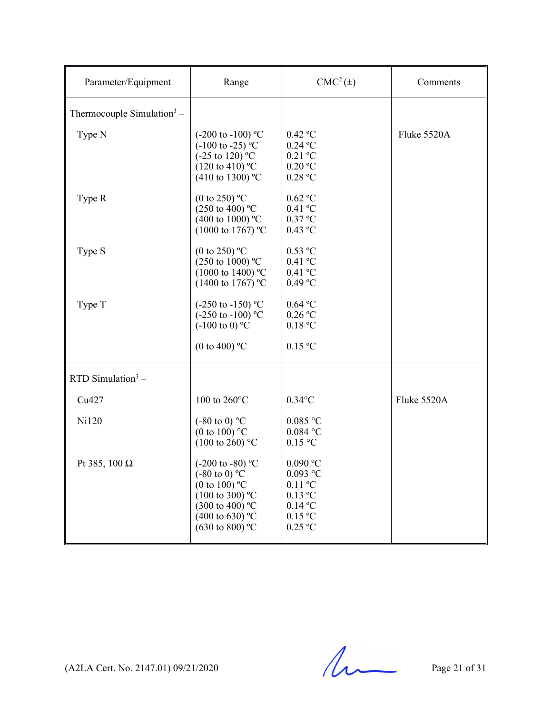| Parameter/Equipment                    | Range                                                                                                                                                                                                             | $CMC2(\pm)$                                                                                                                                       | Comments    |
|----------------------------------------|-------------------------------------------------------------------------------------------------------------------------------------------------------------------------------------------------------------------|---------------------------------------------------------------------------------------------------------------------------------------------------|-------------|
| Thermocouple Simulation <sup>3</sup> – |                                                                                                                                                                                                                   |                                                                                                                                                   |             |
| Type N                                 | $(-200 \text{ to } -100) \text{ °C}$<br>$(-100 \text{ to } -25)$ °C<br>$(-25 \text{ to } 120)^{\circ}$ C<br>$(120 \text{ to } 410)$ °C<br>$(410 \text{ to } 1300)$ °C                                             | $0.42$ °C<br>$0.24$ °C<br>$0.21$ °C<br>$0.20\,^{\rm o}\mathrm{C}$<br>0.28 °C                                                                      | Fluke 5520A |
| Type R                                 | (0 to 250) $^{\circ}$ C<br>$(250 \text{ to } 400)$ °C<br>(400 to 1000) $^{\circ}$ C<br>$(1000 \text{ to } 1767)$ °C                                                                                               | $0.62$ °C<br>$0.41$ °C<br>$0.37$ °C<br>$0.43$ °C                                                                                                  |             |
| Type S                                 | (0 to 250) $^{\circ}$ C<br>(250 to 1000) °C<br>$(1000 \text{ to } 1400)$ °C<br>$(1400 \text{ to } 1767)$ °C                                                                                                       | $0.53$ °C<br>$0.41$ °C<br>$0.41$ °C<br>0.49 °C                                                                                                    |             |
| Type T                                 | $(-250 \text{ to } -150) \text{ °C}$<br>$(-250 \text{ to } -100) \text{ °C}$<br>$(-100 \text{ to } 0)$ °C                                                                                                         | $0.64$ °C<br>$0.26$ °C<br>0.18 °C                                                                                                                 |             |
|                                        | (0 to 400) $^{\circ}$ C                                                                                                                                                                                           | 0.15 °C                                                                                                                                           |             |
| RTD Simulation $3 -$                   |                                                                                                                                                                                                                   |                                                                                                                                                   |             |
| Cu427                                  | 100 to 260°C                                                                                                                                                                                                      | $0.34$ °C                                                                                                                                         | Fluke 5520A |
| Ni120                                  | $(-80 \text{ to } 0)$ °C<br>(0 to 100) $^{\circ}$ C<br>$(100 \text{ to } 260)$ °C                                                                                                                                 | $0.085$ °C<br>$0.084$ °C<br>$0.15$ °C                                                                                                             |             |
| Pt 385, 100 $\Omega$                   | (-200 to -80) $^{\circ}$ C<br>$(-80 \text{ to } 0) \text{ °C}$<br>(0 to 100) $^{\circ}$ C<br>$(100 \text{ to } 300)$ °C<br>$(300 \text{ to } 400)$ °C<br>$(400 \text{ to } 630)$ °C<br>$(630 \text{ to } 800)$ °C | 0.090 °C<br>$0.093$ °C<br>$0.11$ °C<br>$0.13\ ^{\mathrm{o}}\mathrm{C}$<br>$0.14\text{ °C}$<br>$0.15\,^{\rm o}\mathrm{C}$<br>$0.25\,\mathrm{^o C}$ |             |

 $(A2LA$  Cert. No. 2147.01) 09/21/2020 Page 21 of 31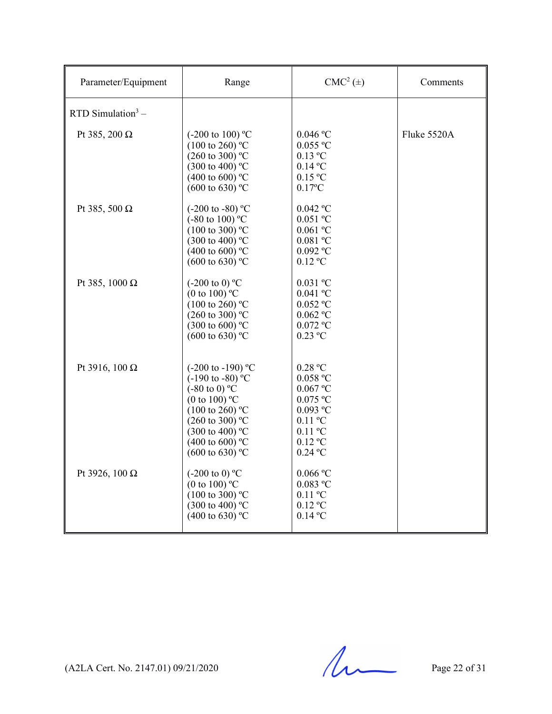| Parameter/Equipment   | Range                                                                                                                                                                                                                                                                            | $CMC2(\pm)$                                                                                                                          | Comments    |
|-----------------------|----------------------------------------------------------------------------------------------------------------------------------------------------------------------------------------------------------------------------------------------------------------------------------|--------------------------------------------------------------------------------------------------------------------------------------|-------------|
| RTD Simulation $3 -$  |                                                                                                                                                                                                                                                                                  |                                                                                                                                      |             |
| Pt 385, 200 $\Omega$  | $(-200 \text{ to } 100)$ °C<br>$(100 \text{ to } 260)$ °C<br>$(260 \text{ to } 300)$ °C<br>$(300 \text{ to } 400)$ °C<br>(400 to 600) $^{\circ}$ C<br>$(600 \text{ to } 630)$ °C                                                                                                 | $0.046\,^{\rm o}\mathrm{C}$<br>$0.055$ °C<br>$0.13$ °C<br>$0.14\text{ °C}$<br>0.15 °C<br>$0.17$ °C                                   | Fluke 5520A |
| Pt 385, 500 $\Omega$  | $(-200 \text{ to } -80)$ °C<br>$(-80 \text{ to } 100)$ °C<br>$(100 \text{ to } 300)$ °C<br>$(300 \text{ to } 400)$ °C<br>$(400 \text{ to } 600)$ °C<br>$(600 \text{ to } 630)$ °C                                                                                                | $0.042$ °C<br>$0.051\ ^{\mathrm{o}}\mathrm{C}$<br>$0.061$ °C<br>$0.081$ °C<br>$0.092\ ^{\mathrm{o}}\mathrm{C}$<br>$0.12$ °C          |             |
| Pt 385, 1000 $\Omega$ | $(-200 \text{ to } 0)$ °C<br>(0 to 100) $^{\circ}$ C<br>$(100 \text{ to } 260)$ °C<br>$(260 \text{ to } 300)$ °C<br>$(300 \text{ to } 600)$ °C<br>$(600 \text{ to } 630)$ °C                                                                                                     | $0.031$ °C<br>$0.041$ °C<br>$0.052$ °C<br>$0.062$ °C<br>$0.072$ °C<br>$0.23$ °C                                                      |             |
| Pt 3916, 100 Ω        | $(-200 \text{ to } -190)$ °C<br>$(-190 \text{ to } -80)$ °C<br>$(-80 \text{ to } 0) \text{ °C}$<br>(0 to 100) $^{\circ}$ C<br>$(100 \text{ to } 260)$ °C<br>$(260 \text{ to } 300)$ °C<br>$(300 \text{ to } 400)$ °C<br>$(400 \text{ to } 600)$ °C<br>$(600 \text{ to } 630)$ °C | 0.28 °C<br>$0.058$ °C<br>$0.067$ °C<br>$0.075$ $^{\rm o}\!{\rm C}$<br>$0.093$ °C<br>$0.11$ °C<br>$0.11$ °C<br>$0.12$ °C<br>$0.24$ °C |             |
| Pt 3926, 100 Ω        | $(-200 \text{ to } 0)$ °C<br>(0 to 100) $^{\circ}$ C<br>$(100 \text{ to } 300)$ °C<br>$(300 \text{ to } 400)$ °C<br>$(400 \text{ to } 630)$ °C                                                                                                                                   | $0.066\,^{\rm o}\mathrm{C}$<br>$0.083$ °C<br>$0.11$ °C<br>$0.12$ °C<br>$0.14$ °C                                                     |             |

 $(A2LA$  Cert. No. 2147.01) 09/21/2020 Page 22 of 31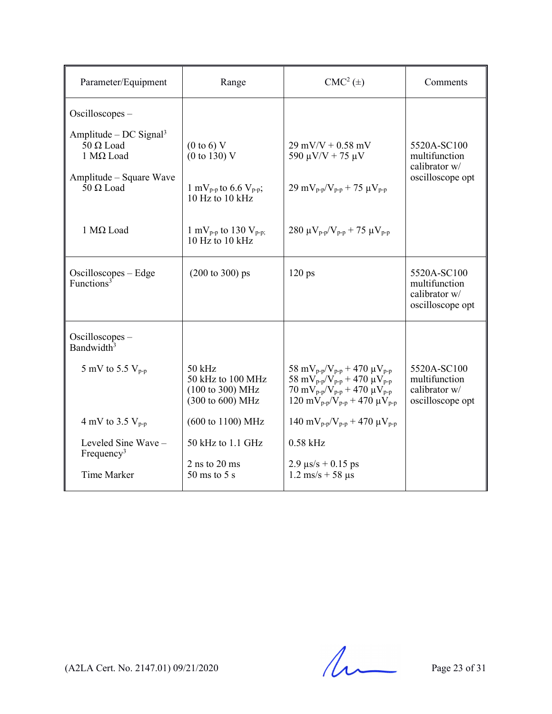| Parameter/Equipment                                                    | Range                                                                 | $CMC2(\pm)$                                                                                                                                                                                                                                                                         | Comments                                                          |
|------------------------------------------------------------------------|-----------------------------------------------------------------------|-------------------------------------------------------------------------------------------------------------------------------------------------------------------------------------------------------------------------------------------------------------------------------------|-------------------------------------------------------------------|
| Oscilloscopes-                                                         |                                                                       |                                                                                                                                                                                                                                                                                     |                                                                   |
| Amplitude – DC Signal <sup>3</sup><br>$50 \Omega$ Load<br>1 Μ $Ω$ Load | $(0 \text{ to } 6)$ V<br>(0 to 130) V                                 | $29$ mV/V + 0.58 mV<br>590 $\mu$ V/V + 75 $\mu$ V                                                                                                                                                                                                                                   | 5520A-SC100<br>multifunction<br>calibrator w/                     |
| Amplitude – Square Wave<br>$50 \Omega$ Load                            | 1 mV <sub>p-p</sub> to 6.6 V <sub>p-p</sub> ;<br>$10$ Hz to $10$ kHz  | $29 \text{ mV}_{p-p}/V_{p-p} + 75 \text{ }\mu\text{V}_{p-p}$                                                                                                                                                                                                                        | oscilloscope opt                                                  |
| $1$ MΩ Load                                                            | 1 mV <sub>p-p</sub> to 130 V <sub>p-p;</sub><br>$10$ Hz to $10$ kHz   | 280 μ $V_{p-p}/V_{p-p}$ + 75 μ $V_{p-p}$                                                                                                                                                                                                                                            |                                                                   |
| $Oscilloscopes - Edge$<br>Functions <sup>3</sup>                       | $(200 \text{ to } 300) \text{ ps}$                                    | $120 \text{ ps}$                                                                                                                                                                                                                                                                    | 5520A-SC100<br>multifunction<br>calibrator w/<br>oscilloscope opt |
| $Oscilloscopes -$<br>Bandwidth <sup>3</sup>                            |                                                                       |                                                                                                                                                                                                                                                                                     |                                                                   |
| 5 mV to 5.5 $V_{p-p}$                                                  | $50$ kHz<br>50 kHz to 100 MHz<br>(100 to 300) MHz<br>(300 to 600) MHz | 58 mV <sub>p-p</sub> /V <sub>p-p</sub> + 470 $\mu$ V <sub>p-p</sub><br>58 mV <sub>p-p</sub> /V <sub>p-p</sub> + 470 $\mu$ V <sub>p-p</sub><br>70 mV <sub>p-p</sub> /V <sub>p-p</sub> + 470 $\mu$ V <sub>p-p</sub><br>$120 \text{ mV}_{p-p}/V_{p-p} + 470 \text{ }\mu\text{V}_{p-p}$ | 5520A-SC100<br>multifunction<br>calibrator w/<br>oscilloscope opt |
| 4 mV to 3.5 $V_{p-p}$                                                  | (600 to 1100) MHz                                                     | $140 \text{ mV}_{p-p}/V_{p-p} + 470 \text{ }\mu\text{V}_{p-p}$                                                                                                                                                                                                                      |                                                                   |
| Leveled Sine Wave -<br>Frequency <sup>3</sup>                          | 50 kHz to 1.1 GHz                                                     | $0.58$ kHz                                                                                                                                                                                                                                                                          |                                                                   |
| <b>Time Marker</b>                                                     | $2$ ns to $20$ ms<br>$50 \text{ ms}$ to $5 \text{ s}$                 | $2.9 \text{ }\mu\text{s/s} + 0.15 \text{ }\text{ps}$<br>$1.2 \text{ ms/s} + 58 \text{ }\mu\text{s}$                                                                                                                                                                                 |                                                                   |

 $(A2LA$  Cert. No. 2147.01) 09/21/2020 Page 23 of 31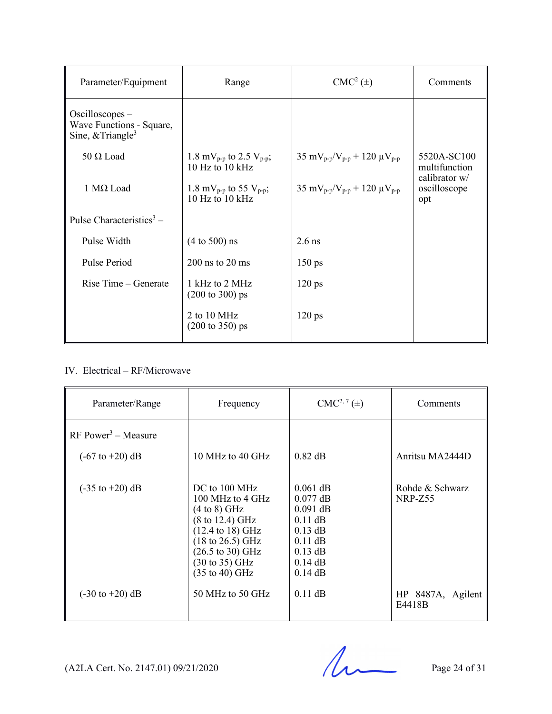| Parameter/Equipment                                                              | Range                                                                | $CMC2(\pm)$                                                         | Comments                             |
|----------------------------------------------------------------------------------|----------------------------------------------------------------------|---------------------------------------------------------------------|--------------------------------------|
| $Oscilloscopes -$<br>Wave Functions - Square,<br>Sine, $&$ Triangle <sup>3</sup> |                                                                      |                                                                     |                                      |
| $50 \Omega$ Load                                                                 | 1.8 mV <sub>p-p</sub> to 2.5 V <sub>p-p</sub> ;<br>10 Hz to 10 $kHz$ | $35 \text{ mV}_{p-p}/V_{p-p} + 120 \text{ }\mu\text{V}_{p-p}$       | 5520A-SC100<br>multifunction         |
| 1 Μ $Ω$ Load                                                                     | 1.8 mV <sub>p-p</sub> to 55 V <sub>p-p</sub> ;<br>10 Hz to 10 $kHz$  | 35 mV <sub>p-p</sub> /V <sub>p-p</sub> + 120 $\mu$ V <sub>p-p</sub> | calibrator w/<br>oscilloscope<br>opt |
| Pulse Characteristics <sup>3</sup> –                                             |                                                                      |                                                                     |                                      |
| Pulse Width                                                                      | $(4 to 500)$ ns                                                      | $2.6$ ns                                                            |                                      |
| Pulse Period                                                                     | $200$ ns to $20$ ms                                                  | $150 \text{ ps}$                                                    |                                      |
| Rise Time – Generate                                                             | 1 kHz to 2 MHz<br>$(200 \text{ to } 300) \text{ ps}$                 | $120 \text{ ps}$                                                    |                                      |
|                                                                                  | 2 to $10 \text{ MHz}$<br>$(200 \text{ to } 350) \text{ ps}$          | $120 \text{ ps}$                                                    |                                      |

## IV. Electrical – RF/Microwave

| Parameter/Range                    | Frequency                                                                                                                                                                                                                                                                                    | $CMC2, 7(\pm)$                                                                                                       | Comments                    |
|------------------------------------|----------------------------------------------------------------------------------------------------------------------------------------------------------------------------------------------------------------------------------------------------------------------------------------------|----------------------------------------------------------------------------------------------------------------------|-----------------------------|
| $RF Power3 - Measure$              |                                                                                                                                                                                                                                                                                              |                                                                                                                      |                             |
| $(-67 \text{ to } +20) \text{ dB}$ | 10 MHz to 40 GHz                                                                                                                                                                                                                                                                             | $0.82$ dB                                                                                                            | Anritsu MA2444D             |
| $(-35 \text{ to } +20) \text{ dB}$ | DC to 100 MHz<br>$100 \text{ MHz}$ to $4 \text{ GHz}$<br>$(4 to 8)$ GHz<br>$(8 \text{ to } 12.4) \text{ GHz}$<br>$(12.4 \text{ to } 18) \text{ GHz}$<br>$(18 \text{ to } 26.5) \text{ GHz}$<br>$(26.5 \text{ to } 30) \text{ GHz}$<br>$(30 \text{ to } 35)$ GHz<br>$(35 \text{ to } 40)$ GHz | $0.061$ dB<br>$0.077$ dB<br>$0.091$ dB<br>$0.11$ dB<br>$0.13$ dB<br>$0.11$ dB<br>$0.13$ dB<br>$0.14$ dB<br>$0.14$ dB | Rohde & Schwarz<br>NRP-Z55  |
| $(-30 \text{ to } +20) \text{ dB}$ | 50 MHz to 50 GHz                                                                                                                                                                                                                                                                             | $0.11$ dB                                                                                                            | HP 8487A, Agilent<br>E4418B |

 $(A2LA$  Cert. No. 2147.01) 09/21/2020 Page 24 of 31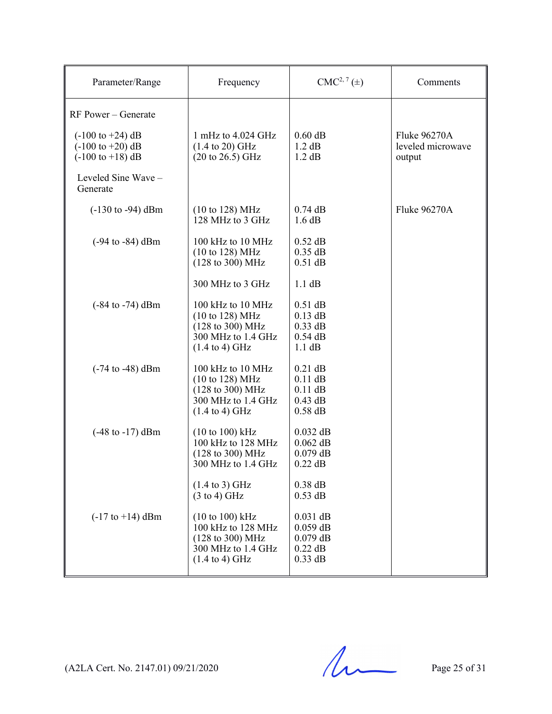| Parameter/Range                                                                                                   | Frequency                                                                                                                              | $CMC2, 7(\pm)$                                                   | Comments                                    |
|-------------------------------------------------------------------------------------------------------------------|----------------------------------------------------------------------------------------------------------------------------------------|------------------------------------------------------------------|---------------------------------------------|
| RF Power – Generate                                                                                               |                                                                                                                                        |                                                                  |                                             |
| $(-100 \text{ to } +24) \text{ dB}$<br>$(-100 \text{ to } +20) \text{ dB}$<br>$(-100 \text{ to } +18) \text{ dB}$ | 1 mHz to $4.024$ GHz<br>$(1.4 \text{ to } 20) \text{ GHz}$<br>$(20 \text{ to } 26.5) \text{ GHz}$                                      | $0.60$ dB<br>1.2 dB<br>1.2 dB                                    | Fluke 96270A<br>leveled microwave<br>output |
| Leveled Sine Wave-<br>Generate                                                                                    |                                                                                                                                        |                                                                  |                                             |
| $(-130 \text{ to } -94) \text{ dBm}$                                                                              | $(10 \text{ to } 128) \text{ MHz}$<br>128 MHz to 3 GHz                                                                                 | $0.74$ dB<br>1.6 dB                                              | Fluke 96270A                                |
| $(-94 \text{ to } -84) \text{ dBm}$                                                                               | 100 kHz to 10 MHz<br>(10 to 128) MHz<br>$(128 \text{ to } 300) \text{ MHz}$                                                            | $0.52$ dB<br>$0.35$ dB<br>$0.51$ dB                              |                                             |
|                                                                                                                   | 300 MHz to 3 GHz                                                                                                                       | 1.1 dB                                                           |                                             |
| $(-84 \text{ to } -74) \text{ dBm}$                                                                               | 100 kHz to 10 MHz<br>(10 to 128) MHz<br>(128 to 300) MHz<br>300 MHz to 1.4 GHz<br>$(1.4 \text{ to } 4) \text{ GHz}$                    | $0.51$ dB<br>$0.13$ dB<br>$0.33$ dB<br>$0.54$ dB<br>1.1 dB       |                                             |
| $(-74 \text{ to } -48) \text{ dBm}$                                                                               | 100 kHz to 10 MHz<br>(10 to 128) MHz<br>$(128 \text{ to } 300) \text{ MHz}$<br>300 MHz to 1.4 GHz<br>$(1.4 \text{ to } 4) \text{ GHz}$ | $0.21$ dB<br>$0.11$ dB<br>$0.11$ dB<br>$0.43$ dB<br>$0.58$ dB    |                                             |
| $(-48 \text{ to } -17) \text{ dBm}$                                                                               | (10 to 100) kHz<br>100 kHz to 128 MHz<br>$(128 \text{ to } 300) \text{ MHz}$<br>300 MHz to 1.4 GHz                                     | $0.032$ dB<br>$0.062$ dB<br>$0.079$ dB<br>$0.22$ dB              |                                             |
|                                                                                                                   | $(1.4 \text{ to } 3)$ GHz<br>$(3 \text{ to } 4)$ GHz                                                                                   | $0.38$ dB<br>$0.53$ dB                                           |                                             |
| $(-17 \text{ to } +14) \text{ dBm}$                                                                               | $(10 to 100)$ kHz<br>100 kHz to 128 MHz<br>(128 to 300) MHz<br>300 MHz to 1.4 GHz<br>$(1.4 \text{ to } 4) \text{ GHz}$                 | $0.031$ dB<br>$0.059$ dB<br>$0.079$ dB<br>$0.22$ dB<br>$0.33$ dB |                                             |

 $(A2LA$  Cert. No. 2147.01) 09/21/2020 Page 25 of 31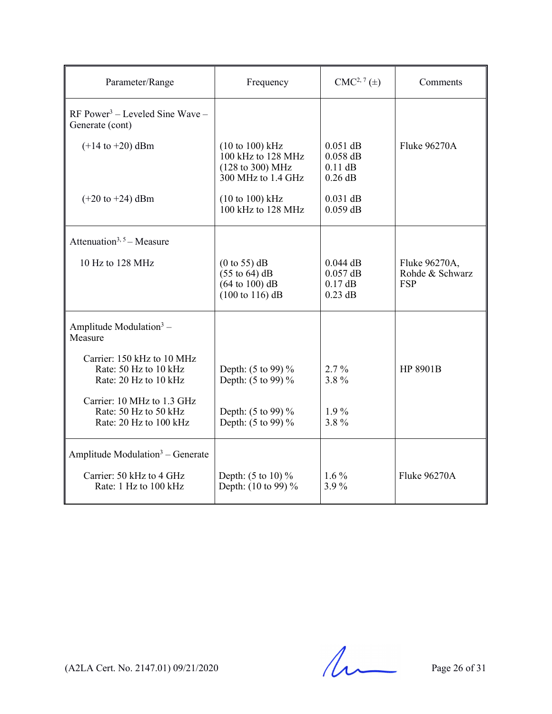| Parameter/Range                                                                                            | Frequency                                                                                                                   | $CMC2, 7(\pm)$                                     | Comments                                       |
|------------------------------------------------------------------------------------------------------------|-----------------------------------------------------------------------------------------------------------------------------|----------------------------------------------------|------------------------------------------------|
| $RF Power3 – Leveled Sine Wave –$<br>Generate (cont)                                                       |                                                                                                                             |                                                    |                                                |
| $(+14 \text{ to } +20) \text{ dBm}$                                                                        | $(10 to 100)$ kHz<br>100 kHz to 128 MHz<br>(128 to 300) MHz<br>300 MHz to 1.4 GHz                                           | $0.051$ dB<br>$0.058$ dB<br>$0.11$ dB<br>$0.26$ dB | <b>Fluke 96270A</b>                            |
| $(+20 \text{ to } +24)$ dBm                                                                                | $(10 to 100)$ kHz<br>100 kHz to 128 MHz                                                                                     | $0.031$ dB<br>$0.059$ dB                           |                                                |
| Attenuation <sup>3, 5</sup> – Measure                                                                      |                                                                                                                             |                                                    |                                                |
| 10 Hz to 128 MHz                                                                                           | (0 to 55) dB<br>$(55 \text{ to } 64) \text{ dB}$<br>$(64 \text{ to } 100) \text{ dB}$<br>$(100 \text{ to } 116) \text{ dB}$ | $0.044$ dB<br>$0.057$ dB<br>$0.17$ dB<br>$0.23$ dB | Fluke 96270A,<br>Rohde & Schwarz<br><b>FSP</b> |
| Amplitude Modulation $3 -$<br>Measure                                                                      |                                                                                                                             |                                                    |                                                |
| Carrier: 150 kHz to 10 MHz<br>Rate: 50 Hz to 10 kHz<br>Rate: 20 Hz to 10 kHz<br>Carrier: 10 MHz to 1.3 GHz | Depth: (5 to 99) %<br>Depth: (5 to 99) %                                                                                    | $2.7\%$<br>3.8%                                    | HP 8901B                                       |
| Rate: 50 Hz to 50 kHz<br>Rate: 20 Hz to 100 kHz                                                            | Depth: (5 to 99) %<br>Depth: (5 to 99) %                                                                                    | $1.9\%$<br>3.8%                                    |                                                |
| Amplitude Modulation <sup>3</sup> – Generate                                                               |                                                                                                                             |                                                    |                                                |
| Carrier: 50 kHz to 4 GHz<br>Rate: 1 Hz to 100 kHz                                                          | Depth: $(5 \text{ to } 10) \%$<br>Depth: (10 to 99) %                                                                       | $1.6\%$<br>3.9%                                    | <b>Fluke 96270A</b>                            |

 $(A2LA$  Cert. No. 2147.01) 09/21/2020 Page 26 of 31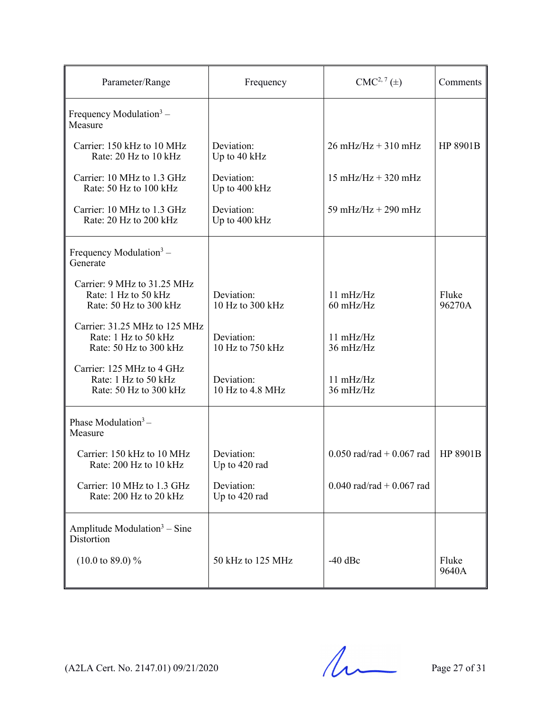| Parameter/Range                                                                 | Frequency                      | $CMC2, 7(\pm)$                             | Comments        |
|---------------------------------------------------------------------------------|--------------------------------|--------------------------------------------|-----------------|
| Frequency Modulation $3 -$<br>Measure                                           |                                |                                            |                 |
| Carrier: 150 kHz to 10 MHz<br>Rate: 20 Hz to 10 kHz                             | Deviation:<br>Up to 40 kHz     | $26 \text{ mHz/Hz} + 310 \text{ mHz}$      | HP 8901B        |
| Carrier: 10 MHz to 1.3 GHz<br>Rate: 50 Hz to 100 kHz                            | Deviation:<br>Up to 400 kHz    | $15 \text{ mHz/Hz} + 320 \text{ mHz}$      |                 |
| Carrier: 10 MHz to 1.3 GHz<br>Rate: 20 Hz to 200 kHz                            | Deviation:<br>Up to 400 kHz    | 59 mHz/Hz + 290 mHz                        |                 |
| Frequency Modulation $3 -$<br>Generate                                          |                                |                                            |                 |
| Carrier: 9 MHz to 31.25 MHz<br>Rate: 1 Hz to 50 kHz<br>Rate: 50 Hz to 300 kHz   | Deviation:<br>10 Hz to 300 kHz | $11 \text{ mHz/Hz}$<br>$60 \text{ mHz/Hz}$ | Fluke<br>96270A |
| Carrier: 31.25 MHz to 125 MHz<br>Rate: 1 Hz to 50 kHz<br>Rate: 50 Hz to 300 kHz | Deviation:<br>10 Hz to 750 kHz | $11 \text{ mHz/Hz}$<br>36 mHz/Hz           |                 |
| Carrier: 125 MHz to 4 GHz<br>Rate: 1 Hz to 50 kHz<br>Rate: 50 Hz to 300 kHz     | Deviation:<br>10 Hz to 4.8 MHz | $11 \text{ mHz/Hz}$<br>36 mHz/Hz           |                 |
| Phase Modulation $3-$<br>Measure                                                |                                |                                            |                 |
| Carrier: 150 kHz to 10 MHz<br>Rate: 200 Hz to 10 kHz                            | Deviation:<br>Up to 420 rad    | $0.050$ rad/rad + 0.067 rad                | HP 8901B        |
| Carrier: 10 MHz to 1.3 GHz<br>Rate: 200 Hz to 20 kHz                            | Deviation:<br>Up to 420 rad    | $0.040$ rad/rad + 0.067 rad                |                 |
| Amplitude Modulation <sup>3</sup> – Sine<br>Distortion                          |                                |                                            |                 |
| $(10.0 \text{ to } 89.0) \%$                                                    | 50 kHz to 125 MHz              | $-40$ dBc                                  | Fluke<br>9640A  |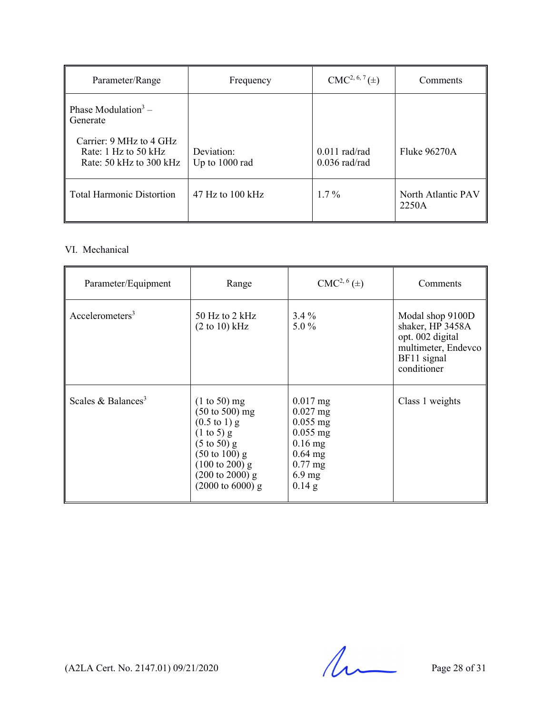| Parameter/Range                                                              | Frequency                    | $CMC2, 6, 7(\pm)$                  | Comments                    |
|------------------------------------------------------------------------------|------------------------------|------------------------------------|-----------------------------|
| Phase Modulation <sup>3</sup> –<br>Generate                                  |                              |                                    |                             |
| Carrier: 9 MHz to 4 GHz<br>Rate: $1$ Hz to 50 kHz<br>Rate: 50 kHz to 300 kHz | Deviation:<br>Up to 1000 rad | $0.011$ rad/rad<br>$0.036$ rad/rad | <b>Fluke 96270A</b>         |
| <b>Total Harmonic Distortion</b>                                             | $47$ Hz to $100$ kHz         | $1.7\%$                            | North Atlantic PAV<br>2250A |

# VI. Mechanical

| Parameter/Equipment            | Range                                                                                                                                                                                                                                                           | $CMC2, 6(\pm)$                                                                                                      | Comments                                                                                                      |
|--------------------------------|-----------------------------------------------------------------------------------------------------------------------------------------------------------------------------------------------------------------------------------------------------------------|---------------------------------------------------------------------------------------------------------------------|---------------------------------------------------------------------------------------------------------------|
| Acceptrometers <sup>3</sup>    | 50 Hz to 2 kHz<br>$(2 \text{ to } 10) \text{ kHz}$                                                                                                                                                                                                              | $3.4\%$<br>5.0 $%$                                                                                                  | Modal shop 9100D<br>shaker, HP 3458A<br>opt. 002 digital<br>multimeter, Endevco<br>BF11 signal<br>conditioner |
| Scales & Balances <sup>3</sup> | $(1 to 50)$ mg<br>$(50 \text{ to } 500)$ mg<br>$(0.5 \text{ to } 1) \text{ g}$<br>$(1 \text{ to } 5)$ g<br>$(5 \text{ to } 50)$ g<br>$(50 \text{ to } 100) \text{ g}$<br>$(100 \text{ to } 200)$ g<br>$(200 \text{ to } 2000)$ g<br>$(2000 \text{ to } 6000)$ g | $0.017$ mg<br>$0.027$ mg<br>$0.055$ mg<br>$0.055$ mg<br>$0.16$ mg<br>$0.64$ mg<br>$0.77$ mg<br>$6.9$ mg<br>$0.14$ g | Class 1 weights                                                                                               |

 $(A2LA$  Cert. No. 2147.01) 09/21/2020 Page 28 of 31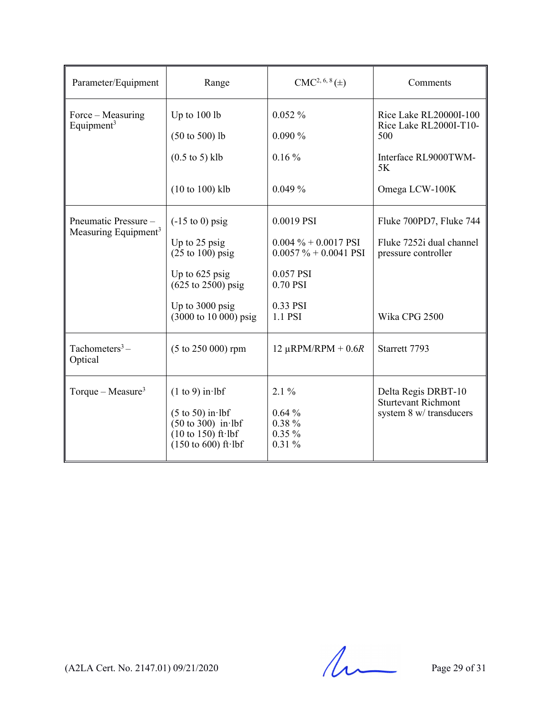| Parameter/Equipment                                      | Range                                                                                                                                                                                       | $CMC2, 6, 8(\pm)$                                                                                                 | Comments                                                                                    |
|----------------------------------------------------------|---------------------------------------------------------------------------------------------------------------------------------------------------------------------------------------------|-------------------------------------------------------------------------------------------------------------------|---------------------------------------------------------------------------------------------|
| Force – Measuring<br>Equipment <sup>3</sup>              | Up to $100$ lb<br>$(50 \text{ to } 500)$ lb                                                                                                                                                 | $0.052\%$<br>0.090%                                                                                               | Rice Lake RL20000I-100<br>Rice Lake RL2000I-T10-<br>500                                     |
|                                                          | $(0.5 \text{ to } 5)$ klb                                                                                                                                                                   | $0.16\%$                                                                                                          | Interface RL9000TWM-<br>5K                                                                  |
|                                                          | $(10 to 100)$ klb                                                                                                                                                                           | 0.049%                                                                                                            | Omega LCW-100K                                                                              |
| Pneumatic Pressure –<br>Measuring Equipment <sup>3</sup> | $(-15 \text{ to } 0)$ psig<br>Up to 25 psig<br>$(25 \text{ to } 100)$ psig<br>Up to 625 psig<br>$(625 \text{ to } 2500)$ psig<br>Up to 3000 psig<br>$(3000 \text{ to } 10000) \text{ psig}$ | 0.0019 PSI<br>$0.004 \% + 0.0017$ PSI<br>$0.0057 \% + 0.0041$ PSI<br>0.057 PSI<br>0.70 PSI<br>0.33 PSI<br>1.1 PSI | Fluke 700PD7, Fluke 744<br>Fluke 7252i dual channel<br>pressure controller<br>Wika CPG 2500 |
| Tachometers <sup>3</sup> –<br>Optical                    | $(5 \text{ to } 250\,000)$ rpm                                                                                                                                                              | 12 $\mu$ RPM/RPM + 0.6R                                                                                           | Starrett 7793                                                                               |
| Torque – Measure <sup>3</sup>                            | $(1 to 9)$ in lbf<br>$(5 \text{ to } 50)$ in lbf<br>$(50 \text{ to } 300)$ in lbf<br>$(10 \text{ to } 150)$ ft lbf<br>$(150 \text{ to } 600) \text{ ft·lbf}$                                | $2.1\%$<br>0.64%<br>$0.38 \%$<br>$0.35\%$<br>$0.31\%$                                                             | Delta Regis DRBT-10<br><b>Sturtevant Richmont</b><br>system 8 w/ transducers                |

 $(A2LA$  Cert. No. 2147.01) 09/21/2020 Page 29 of 31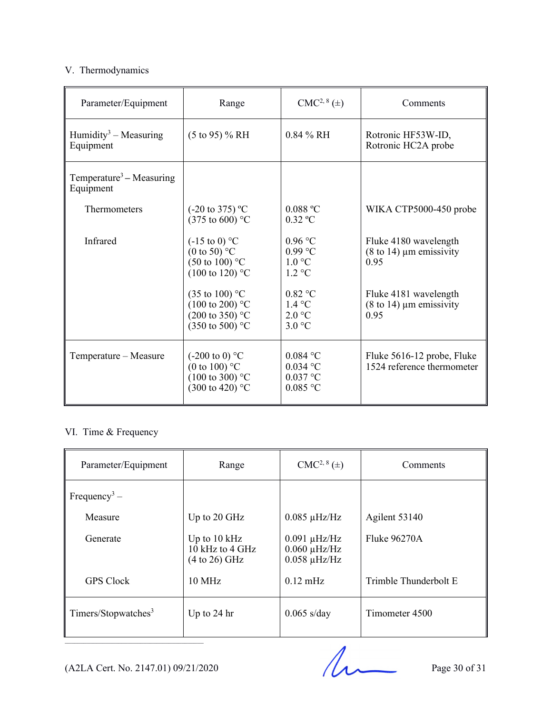# V. Thermodynamics

| Parameter/Equipment                               | Range                                                                                                                 | $CMC2, 8(\pm)$                                           | Comments                                                               |
|---------------------------------------------------|-----------------------------------------------------------------------------------------------------------------------|----------------------------------------------------------|------------------------------------------------------------------------|
| Humidity <sup>3</sup> – Measuring<br>Equipment    | $(5 \text{ to } 95)$ % RH                                                                                             | $0.84\%$ RH                                              | Rotronic HF53W-ID,<br>Rotronic HC2A probe                              |
| Temperature <sup>3</sup> – Measuring<br>Equipment |                                                                                                                       |                                                          |                                                                        |
| Thermometers                                      | $(-20 \text{ to } 375)$ °C<br>$(375 \text{ to } 600)$ °C                                                              | $0.088$ °C<br>$0.32$ °C                                  | WIKA CTP5000-450 probe                                                 |
| Infrared                                          | $(-15 \text{ to } 0)$ °C<br>$(0 \text{ to } 50)^{\circ}$ C<br>$(50 \text{ to } 100)$ °C<br>$(100 \text{ to } 120)$ °C | $0.96$ °C<br>$0.99$ °C<br>1.0 °C<br>$1.2 \text{ °C}$     | Fluke 4180 wavelength<br>$(8 \text{ to } 14)$ µm emissivity<br>0.95    |
|                                                   | $(35 \text{ to } 100)$ °C<br>$(100 \text{ to } 200)$ °C<br>$(200 \text{ to } 350)$ °C<br>(350 to 500) °C              | $0.82$ °C<br>$1.4 \text{ }^{\circ}C$<br>2.0 °C<br>3.0 °C | Fluke 4181 wavelength<br>$(8 \text{ to } 14) \mu m$ emissivity<br>0.95 |
| Temperature – Measure                             | $(-200 \text{ to } 0)$ °C<br>(0 to 100) $^{\circ}$ C<br>$(100 \text{ to } 300)$ °C<br>$(300 \text{ to } 420)$ °C      | $0.084$ °C<br>$0.034$ °C<br>$0.037$ °C<br>$0.085$ °C     | Fluke 5616-12 probe, Fluke<br>1524 reference thermometer               |

# VI. Time & Frequency

| Parameter/Equipment             | Range                                                        | $CMC2, 8(\pm)$                                              | Comments              |
|---------------------------------|--------------------------------------------------------------|-------------------------------------------------------------|-----------------------|
| Frequency <sup>3</sup> –        |                                                              |                                                             |                       |
| Measure                         | Up to 20 GHz                                                 | $0.085 \mu$ Hz/Hz                                           | Agilent 53140         |
| Generate                        | Up to $10 \text{ kHz}$<br>10 kHz to 4 GHz<br>$(4 to 26)$ GHz | $0.091 \mu$ Hz/Hz<br>$0.060 \mu$ Hz/Hz<br>$0.058 \mu$ Hz/Hz | Fluke 96270A          |
| <b>GPS</b> Clock                | $10 \text{ MHz}$                                             | $0.12 \text{ mHz}$                                          | Trimble Thunderbolt E |
| Timers/Stopwatches <sup>3</sup> | Up to $24$ hr                                                | $0.065$ s/day                                               | Timometer 4500        |

(A2LA Cert. No. 2147.01) 09/21/2020 Page 30 of 31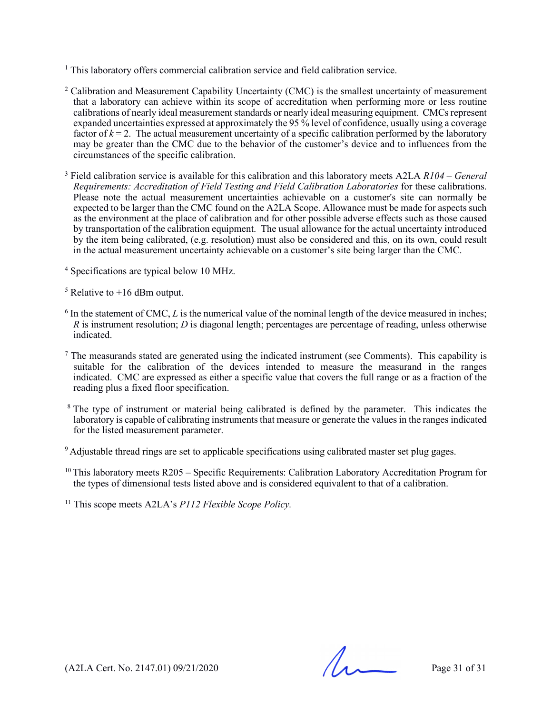- <sup>1</sup> This laboratory offers commercial calibration service and field calibration service.
- <sup>2</sup> Calibration and Measurement Capability Uncertainty (CMC) is the smallest uncertainty of measurement that a laboratory can achieve within its scope of accreditation when performing more or less routine calibrations of nearly ideal measurement standards or nearly ideal measuring equipment. CMCs represent expanded uncertainties expressed at approximately the 95 % level of confidence, usually using a coverage factor of  $k = 2$ . The actual measurement uncertainty of a specific calibration performed by the laboratory may be greater than the CMC due to the behavior of the customer's device and to influences from the circumstances of the specific calibration.
- <sup>3</sup> Field calibration service is available for this calibration and this laboratory meets A2LA *R104 – General Requirements: Accreditation of Field Testing and Field Calibration Laboratories* for these calibrations. Please note the actual measurement uncertainties achievable on a customer's site can normally be expected to be larger than the CMC found on the A2LA Scope. Allowance must be made for aspects such as the environment at the place of calibration and for other possible adverse effects such as those caused by transportation of the calibration equipment. The usual allowance for the actual uncertainty introduced by the item being calibrated, (e.g. resolution) must also be considered and this, on its own, could result in the actual measurement uncertainty achievable on a customer's site being larger than the CMC.
- <sup>4</sup> Specifications are typical below 10 MHz.
- $5$  Relative to  $+16$  dBm output.
- <sup>6</sup> In the statement of CMC, *L* is the numerical value of the nominal length of the device measured in inches; *R* is instrument resolution; *D* is diagonal length; percentages are percentage of reading, unless otherwise indicated.
- $<sup>7</sup>$  The measurands stated are generated using the indicated instrument (see Comments). This capability is</sup> suitable for the calibration of the devices intended to measure the measurand in the ranges indicated. CMC are expressed as either a specific value that covers the full range or as a fraction of the reading plus a fixed floor specification.
- <sup>8</sup> The type of instrument or material being calibrated is defined by the parameter. This indicates the laboratory is capable of calibrating instruments that measure or generate the values in the ranges indicated for the listed measurement parameter.
- <sup>9</sup> Adjustable thread rings are set to applicable specifications using calibrated master set plug gages.
- $10$  This laboratory meets R205 Specific Requirements: Calibration Laboratory Accreditation Program for the types of dimensional tests listed above and is considered equivalent to that of a calibration.
- <sup>11</sup> This scope meets A2LA's *P112 Flexible Scope Policy.*